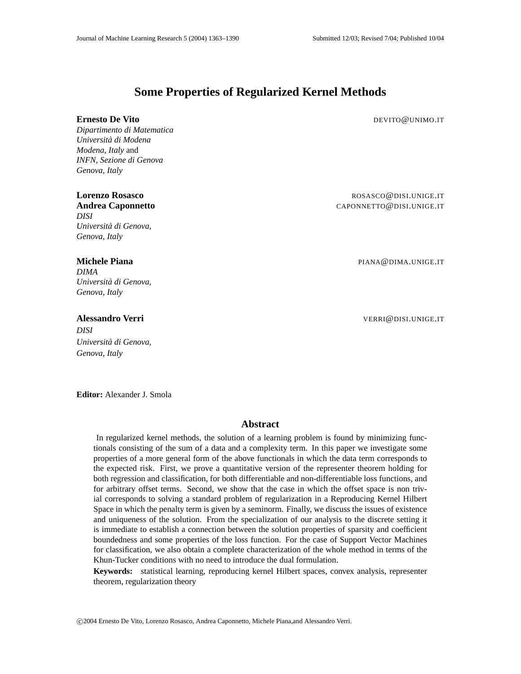## **Some Properties of Regularized Kernel Methods**

#### **Ernesto De Vito** De Vito

*Dipartimento di Matematica Universita di Modena ` Modena, Italy* and *INFN, Sezione di Genova Genova, Italy*

*DISI Universita di Genova, ` Genova, Italy*

*DIMA Universita di Genova, ` Genova, Italy*

# *DISI Universita di Genova, `*

*Genova, Italy*

**Lorenzo Rosasco** ROSASCO@DISI.UNIGE.IT **Andrea Caponnetto** CAPONNETTO **CAPONNETTO @DISI.UNIGE.IT** 

**Michele Piana** PIANA **PIANA COMPANY PIANA COMPANY PIANA COMPANY PIANA COMPANY PIANA COMPANY PIANA COMPANY PIANA COMPANY PIANA COMPANY PIANA COMPANY PIANA COMPANY PIANA COMPANY PIANA COMPANY PIANA COMPANY PIANA COMPANY PIA** 

**Alessandro Verri** VERRI@DISI.UNIGE.IT

**Editor:** Alexander J. Smola

#### **Abstract**

In regularized kernel methods, the solution of a learning problem is found by minimizing functionals consisting of the sum of a data and a complexity term. In this paper we investigate some properties of a more general form of the above functionals in which the data term corresponds to the expected risk. First, we prove a quantitative version of the representer theorem holding for both regression and classification, for both differentiable and non-differentiable loss functions, and for arbitrary offset terms. Second, we show that the case in which the offset space is non trivial corresponds to solving a standard problem of regularization in a Reproducing Kernel Hilbert Space in which the penalty term is given by a seminorm. Finally, we discuss the issues of existence and uniqueness of the solution. From the specialization of our analysis to the discrete setting it is immediate to establish a connection between the solution properties of sparsity and coefficient boundedness and some properties of the loss function. For the case of Support Vector Machines for classification, we also obtain a complete characterization of the whole method in terms of the Khun-Tucker conditions with no need to introduce the dual formulation.

**Keywords:** statistical learning, reproducing kernel Hilbert spaces, convex analysis, representer theorem, regularization theory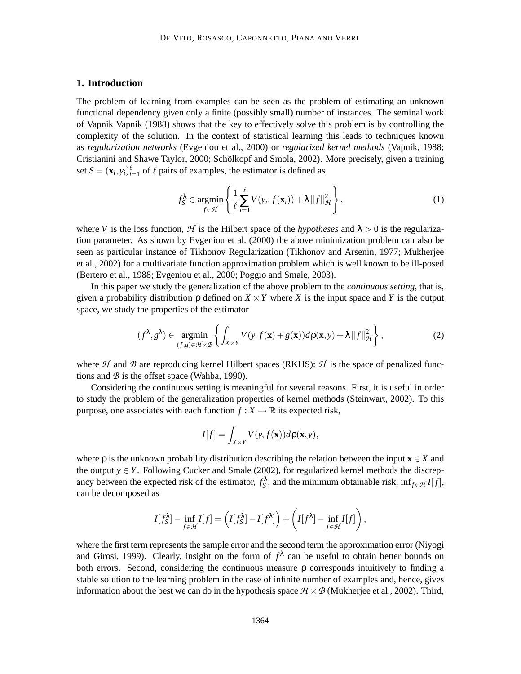### **1. Introduction**

The problem of learning from examples can be seen as the problem of estimating an unknown functional dependency given only a finite (possibly small) number of instances. The seminal work of Vapnik Vapnik (1988) shows that the key to effectively solve this problem is by controlling the complexity of the solution. In the context of statistical learning this leads to techniques known as *regularization networks* (Evgeniou et al., 2000) or *regularized kernel methods* (Vapnik, 1988; Cristianini and Shawe Taylor, 2000; Schölkopf and Smola, 2002). More precisely, given a training set  $S = (\mathbf{x}_i, y_i)_{i=1}^{\ell}$  of  $\ell$  pairs of examples, the estimator is defined as

$$
f_S^{\lambda} \in \underset{f \in \mathcal{H}}{\text{argmin}} \left\{ \frac{1}{\ell} \sum_{i=1}^{\ell} V(y_i, f(\mathbf{x}_i)) + \lambda ||f||_{\mathcal{H}}^2 \right\},\tag{1}
$$

where *V* is the loss function, *H* is the Hilbert space of the *hypotheses* and  $\lambda > 0$  is the regularization parameter. As shown by Evgeniou et al. (2000) the above minimization problem can also be seen as particular instance of Tikhonov Regularization (Tikhonov and Arsenin, 1977; Mukherjee et al., 2002) for a multivariate function approximation problem which is well known to be ill-posed (Bertero et al., 1988; Evgeniou et al., 2000; Poggio and Smale, 2003).

In this paper we study the generalization of the above problem to the *continuous setting*, that is, given a probability distribution  $\rho$  defined on  $X \times Y$  where X is the input space and Y is the output space, we study the properties of the estimator

$$
(f^{\lambda}, g^{\lambda}) \in \underset{(f,g)\in\mathcal{H}\times\mathcal{B}}{\operatorname{argmin}} \left\{ \int_{X\times Y} V(y, f(\mathbf{x}) + g(\mathbf{x})) d\rho(\mathbf{x}, y) + \lambda \|f\|_{\mathcal{H}}^2 \right\},\tag{2}
$$

where  $H$  and  $B$  are reproducing kernel Hilbert spaces (RKHS):  $H$  is the space of penalized functions and  $B$  is the offset space (Wahba, 1990).

Considering the continuous setting is meaningful for several reasons. First, it is useful in order to study the problem of the generalization properties of kernel methods (Steinwart, 2002). To this purpose, one associates with each function  $f : X \to \mathbb{R}$  its expected risk,

$$
I[f] = \int_{X \times Y} V(y, f(\mathbf{x})) d\rho(\mathbf{x}, y),
$$

where  $\rho$  is the unknown probability distribution describing the relation between the input **x**  $\in$  *X* and the output  $y \in Y$ . Following Cucker and Smale (2002), for regularized kernel methods the discrepancy between the expected risk of the estimator,  $f_S^{\lambda}$ , and the minimum obtainable risk,  $\inf_{f \in \mathcal{H}} I[f]$ , can be decomposed as

$$
I[f_S^{\lambda}] - \inf_{f \in \mathcal{H}} I[f] = \left( I[f_S^{\lambda}] - I[f^{\lambda}] \right) + \left( I[f^{\lambda}] - \inf_{f \in \mathcal{H}} I[f] \right),
$$

where the first term represents the sample error and the second term the approximation error (Niyogi and Girosi, 1999). Clearly, insight on the form of  $f^{\lambda}$  can be useful to obtain better bounds on both errors. Second, considering the continuous measure ρ corresponds intuitively to finding a stable solution to the learning problem in the case of infinite number of examples and, hence, gives information about the best we can do in the hypothesis space  $H \times B$  (Mukherjee et al., 2002). Third,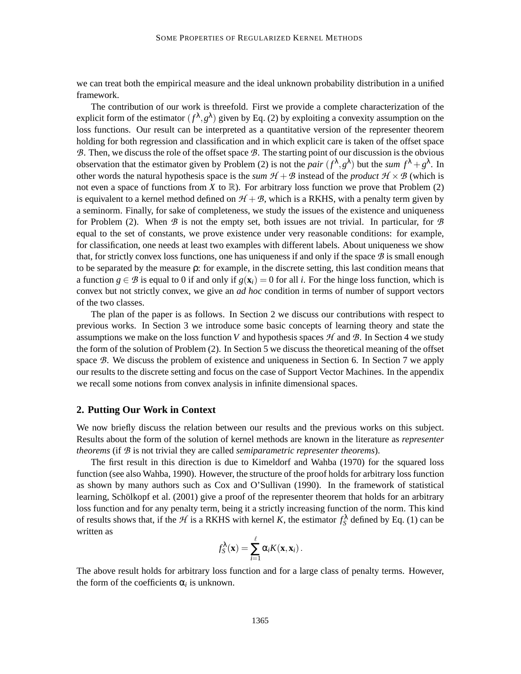we can treat both the empirical measure and the ideal unknown probability distribution in a unified framework.

The contribution of our work is threefold. First we provide a complete characterization of the explicit form of the estimator  $(f^{\lambda}, g^{\lambda})$  given by Eq. (2) by exploiting a convexity assumption on the loss functions. Our result can be interpreted as a quantitative version of the representer theorem holding for both regression and classification and in which explicit care is taken of the offset space B. Then, we discuss the role of the offset space B. The starting point of our discussion is the obvious observation that the estimator given by Problem (2) is not the *pair*  $(f^{\lambda}, g^{\lambda})$  but the *sum*  $f^{\lambda} + g^{\lambda}$ . In other words the natural hypothesis space is the *sum*  $H + B$  instead of the *product*  $H \times B$  (which is not even a space of functions from *X* to  $\mathbb{R}$ ). For arbitrary loss function we prove that Problem (2) is equivalent to a kernel method defined on  $H + B$ , which is a RKHS, with a penalty term given by a seminorm. Finally, for sake of completeness, we study the issues of the existence and uniqueness for Problem (2). When  $\mathcal B$  is not the empty set, both issues are not trivial. In particular, for  $\mathcal B$ equal to the set of constants, we prove existence under very reasonable conditions: for example, for classification, one needs at least two examples with different labels. About uniqueness we show that, for strictly convex loss functions, one has uniqueness if and only if the space  $\mathcal B$  is small enough to be separated by the measure ρ: for example, in the discrete setting, this last condition means that a function  $g \in \mathcal{B}$  is equal to 0 if and only if  $g(\mathbf{x}_i) = 0$  for all *i*. For the hinge loss function, which is convex but not strictly convex, we give an *ad hoc* condition in terms of number of support vectors of the two classes.

The plan of the paper is as follows. In Section 2 we discuss our contributions with respect to previous works. In Section 3 we introduce some basic concepts of learning theory and state the assumptions we make on the loss function *V* and hypothesis spaces  $H$  and  $B$ . In Section 4 we study the form of the solution of Problem (2). In Section 5 we discuss the theoretical meaning of the offset space B. We discuss the problem of existence and uniqueness in Section 6. In Section 7 we apply our results to the discrete setting and focus on the case of Support Vector Machines. In the appendix we recall some notions from convex analysis in infinite dimensional spaces.

#### **2. Putting Our Work in Context**

We now briefly discuss the relation between our results and the previous works on this subject. Results about the form of the solution of kernel methods are known in the literature as *representer theorems* (if B is not trivial they are called *semiparametric representer theorems*).

The first result in this direction is due to Kimeldorf and Wahba (1970) for the squared loss function (see also Wahba, 1990). However, the structure of the proof holds for arbitrary loss function as shown by many authors such as Cox and O'Sullivan (1990). In the framework of statistical learning, Schölkopf et al. (2001) give a proof of the representer theorem that holds for an arbitrary loss function and for any penalty term, being it a strictly increasing function of the norm. This kind of results shows that, if the  $H$  is a RKHS with kernel *K*, the estimator  $f_S^{\lambda}$  defined by Eq. (1) can be written as

$$
f_S^{\lambda}(\mathbf{x}) = \sum_{i=1}^{\ell} \alpha_i K(\mathbf{x}, \mathbf{x}_i).
$$

The above result holds for arbitrary loss function and for a large class of penalty terms. However, the form of the coefficients  $\alpha_i$  is unknown.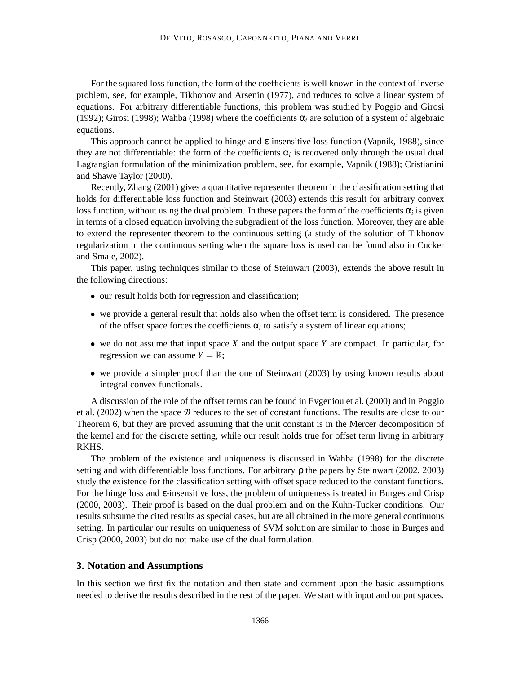For the squared loss function, the form of the coefficients is well known in the context of inverse problem, see, for example, Tikhonov and Arsenin (1977), and reduces to solve a linear system of equations. For arbitrary differentiable functions, this problem was studied by Poggio and Girosi (1992); Girosi (1998); Wahba (1998) where the coefficients  $\alpha_i$  are solution of a system of algebraic equations.

This approach cannot be applied to hinge and  $\varepsilon$ -insensitive loss function (Vapnik, 1988), since they are not differentiable: the form of the coefficients  $\alpha_i$  is recovered only through the usual dual Lagrangian formulation of the minimization problem, see, for example, Vapnik (1988); Cristianini and Shawe Taylor (2000).

Recently, Zhang (2001) gives a quantitative representer theorem in the classification setting that holds for differentiable loss function and Steinwart (2003) extends this result for arbitrary convex loss function, without using the dual problem. In these papers the form of the coefficients  $\alpha_i$  is given in terms of a closed equation involving the subgradient of the loss function. Moreover, they are able to extend the representer theorem to the continuous setting (a study of the solution of Tikhonov regularization in the continuous setting when the square loss is used can be found also in Cucker and Smale, 2002).

This paper, using techniques similar to those of Steinwart (2003), extends the above result in the following directions:

- our result holds both for regression and classification;
- we provide a general result that holds also when the offset term is considered. The presence of the offset space forces the coefficients  $\alpha_i$  to satisfy a system of linear equations;
- we do not assume that input space *X* and the output space *Y* are compact. In particular, for regression we can assume  $Y = \mathbb{R}$ ;
- we provide a simpler proof than the one of Steinwart (2003) by using known results about integral convex functionals.

A discussion of the role of the offset terms can be found in Evgeniou et al. (2000) and in Poggio et al.  $(2002)$  when the space  $\beta$  reduces to the set of constant functions. The results are close to our Theorem 6, but they are proved assuming that the unit constant is in the Mercer decomposition of the kernel and for the discrete setting, while our result holds true for offset term living in arbitrary RKHS.

The problem of the existence and uniqueness is discussed in Wahba (1998) for the discrete setting and with differentiable loss functions. For arbitrary ρ the papers by Steinwart (2002, 2003) study the existence for the classification setting with offset space reduced to the constant functions. For the hinge loss and ε-insensitive loss, the problem of uniqueness is treated in Burges and Crisp (2000, 2003). Their proof is based on the dual problem and on the Kuhn-Tucker conditions. Our results subsume the cited results as special cases, but are all obtained in the more general continuous setting. In particular our results on uniqueness of SVM solution are similar to those in Burges and Crisp (2000, 2003) but do not make use of the dual formulation.

#### **3. Notation and Assumptions**

In this section we first fix the notation and then state and comment upon the basic assumptions needed to derive the results described in the rest of the paper. We start with input and output spaces.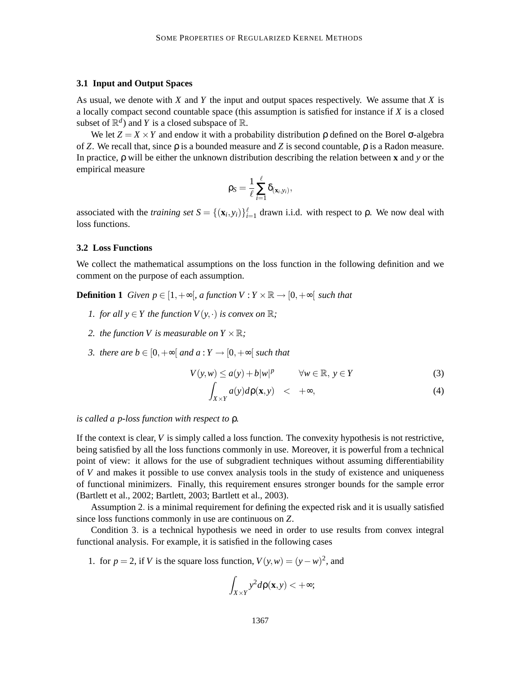#### **3.1 Input and Output Spaces**

As usual, we denote with *X* and *Y* the input and output spaces respectively. We assume that *X* is a locally compact second countable space (this assumption is satisfied for instance if *X* is a closed subset of  $\mathbb{R}^d$ ) and *Y* is a closed subspace of  $\mathbb{R}$ .

We let  $Z = X \times Y$  and endow it with a probability distribution  $\rho$  defined on the Borel  $\sigma$ -algebra of *Z*. We recall that, since ρ is a bounded measure and *Z* is second countable, ρ is a Radon measure. In practice, ρ will be either the unknown distribution describing the relation between **x** and *y* or the empirical measure

$$
\rho_{\mathcal{S}} = \frac{1}{\ell} \sum_{i=1}^\ell \delta_{(x_i, y_i)},
$$

associated with the *training set*  $S = \{(\mathbf{x}_i, y_i)\}_{i=1}^{\ell}$  drawn i.i.d. with respect to  $\rho$ . We now deal with loss functions.

#### **3.2 Loss Functions**

We collect the mathematical assumptions on the loss function in the following definition and we comment on the purpose of each assumption.

**Definition 1** *Given p*  $\in$  [1, +∞[*, a function V* :  $Y \times \mathbb{R} \rightarrow$  [0, +∞[ *such that* 

- *1. for all*  $y \in Y$  *the function*  $V(y, \cdot)$  *is convex on*  $\mathbb{R}$ *;*
- *2. the function V is measurable on*  $Y \times \mathbb{R}$ *;*
- *3. there are b*  $\in$  [0,  $+\infty$ [ *and a* : *Y*  $\rightarrow$  [0,  $+\infty$ [ *such that*

$$
V(y, w) \le a(y) + b|w|^p \qquad \forall w \in \mathbb{R}, y \in Y
$$
 (3)

$$
\int_{X\times Y} a(y)d\rho(\mathbf{x},y) \quad < \quad +\infty,\tag{4}
$$

*is called a p-loss function with respect to* ρ*.*

If the context is clear, *V* is simply called a loss function. The convexity hypothesis is not restrictive, being satisfied by all the loss functions commonly in use. Moreover, it is powerful from a technical point of view: it allows for the use of subgradient techniques without assuming differentiability of *V* and makes it possible to use convex analysis tools in the study of existence and uniqueness of functional minimizers. Finally, this requirement ensures stronger bounds for the sample error (Bartlett et al., 2002; Bartlett, 2003; Bartlett et al., 2003).

Assumption 2. is a minimal requirement for defining the expected risk and it is usually satisfied since loss functions commonly in use are continuous on *Z*.

Condition 3. is a technical hypothesis we need in order to use results from convex integral functional analysis. For example, it is satisfied in the following cases

1. for  $p = 2$ , if *V* is the square loss function,  $V(y, w) = (y - w)^2$ , and

$$
\int_{X\times Y} y^2 d\rho(\mathbf{x},y) < +\infty;
$$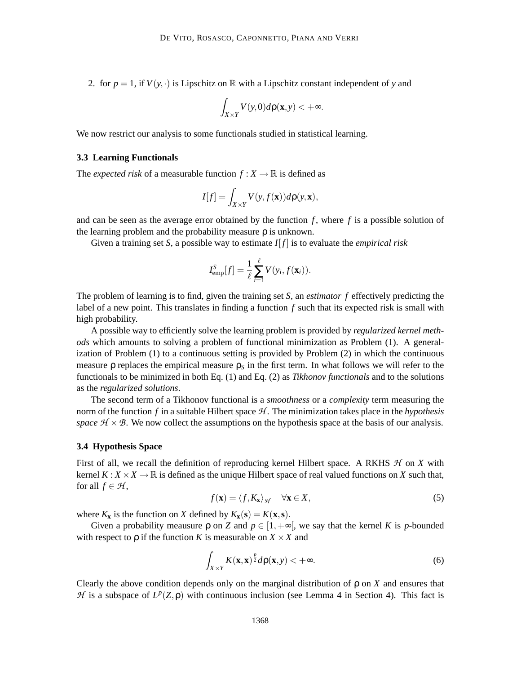2. for  $p = 1$ , if  $V(y, \cdot)$  is Lipschitz on R with a Lipschitz constant independent of y and

$$
\int_{X\times Y} V(y,0) d\rho(\mathbf{x},y) < +\infty.
$$

We now restrict our analysis to some functionals studied in statistical learning.

#### **3.3 Learning Functionals**

The *expected risk* of a measurable function  $f: X \to \mathbb{R}$  is defined as

$$
I[f] = \int_{X \times Y} V(y, f(\mathbf{x})) d\rho(y, \mathbf{x}),
$$

and can be seen as the average error obtained by the function  $f$ , where  $f$  is a possible solution of the learning problem and the probability measure  $\rho$  is unknown.

Given a training set *S*, a possible way to estimate  $I[f]$  is to evaluate the *empirical risk* 

$$
I_{\text{emp}}^{S}[f] = \frac{1}{\ell} \sum_{i=1}^{\ell} V(y_i, f(\mathbf{x}_i)).
$$

The problem of learning is to find, given the training set *S*, an *estimator f* effectively predicting the label of a new point. This translates in finding a function *f* such that its expected risk is small with high probability.

A possible way to efficiently solve the learning problem is provided by *regularized kernel methods* which amounts to solving a problem of functional minimization as Problem (1). A generalization of Problem (1) to a continuous setting is provided by Problem (2) in which the continuous measure p replaces the empirical measure  $\rho_s$  in the first term. In what follows we will refer to the functionals to be minimized in both Eq. (1) and Eq. (2) as *Tikhonov functionals* and to the solutions as the *regularized solutions*.

The second term of a Tikhonov functional is a *smoothness* or a *complexity* term measuring the norm of the function  $f$  in a suitable Hilbert space  $H$ . The minimization takes place in the *hypothesis space*  $H \times B$ . We now collect the assumptions on the hypothesis space at the basis of our analysis.

#### **3.4 Hypothesis Space**

First of all, we recall the definition of reproducing kernel Hilbert space. A RKHS  $H$  on  $X$  with kernel  $K: X \times X \to \mathbb{R}$  is defined as the unique Hilbert space of real valued functions on X such that, for all  $f \in \mathcal{H}$ ,

$$
f(\mathbf{x}) = \langle f, K_{\mathbf{x}} \rangle_{\mathcal{H}} \quad \forall \mathbf{x} \in X,
$$
\n(5)

where  $K_{\mathbf{x}}$  is the function on *X* defined by  $K_{\mathbf{x}}(\mathbf{s}) = K(\mathbf{x}, \mathbf{s})$ .

Given a probability meausure  $\rho$  on *Z* and  $p \in [1, +\infty]$ , we say that the kernel *K* is *p*-bounded with respect to  $\rho$  if the function *K* is measurable on  $X \times X$  and

$$
\int_{X\times Y} K(\mathbf{x}, \mathbf{x})^{\frac{p}{2}} d\rho(\mathbf{x}, y) < +\infty.
$$
 (6)

Clearly the above condition depends only on the marginal distribution of  $\rho$  on *X* and ensures that H is a subspace of  $L^p(Z, \rho)$  with continuous inclusion (see Lemma 4 in Section 4). This fact is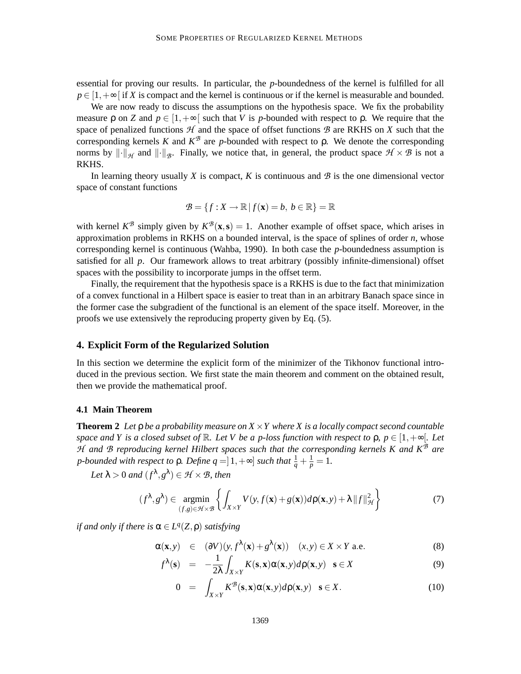essential for proving our results. In particular, the *p*-boundedness of the kernel is fulfilled for all  $p \in [1, +\infty]$  if *X* is compact and the kernel is continuous or if the kernel is measurable and bounded.

We are now ready to discuss the assumptions on the hypothesis space. We fix the probability measure p on *Z* and  $p \in [1, +\infty]$  such that *V* is *p*-bounded with respect to p. We require that the space of penalized functions  $H$  and the space of offset functions  $B$  are RKHS on  $X$  such that the corresponding kernels *K* and  $K^{\mathcal{B}}$  are *p*-bounded with respect to ρ. We denote the corresponding norms by  $\|\cdot\|_{\mathcal{H}}$  and  $\|\cdot\|_{\mathcal{B}}$ . Finally, we notice that, in general, the product space  $\mathcal{H} \times \mathcal{B}$  is not a RKHS.

In learning theory usually  $X$  is compact,  $K$  is continuous and  $\mathcal{B}$  is the one dimensional vector space of constant functions

$$
\mathcal{B} = \{f : X \to \mathbb{R} \mid f(\mathbf{x}) = b, \ b \in \mathbb{R}\} = \mathbb{R}
$$

with kernel  $K^{\mathcal{B}}$  simply given by  $K^{\mathcal{B}}(\mathbf{x}, \mathbf{s}) = 1$ . Another example of offset space, which arises in approximation problems in RKHS on a bounded interval, is the space of splines of order *n*, whose corresponding kernel is continuous (Wahba, 1990). In both case the *p*-boundedness assumption is satisfied for all *p*. Our framework allows to treat arbitrary (possibly infinite-dimensional) offset spaces with the possibility to incorporate jumps in the offset term.

Finally, the requirement that the hypothesis space is a RKHS is due to the fact that minimization of a convex functional in a Hilbert space is easier to treat than in an arbitrary Banach space since in the former case the subgradient of the functional is an element of the space itself. Moreover, in the proofs we use extensively the reproducing property given by Eq. (5).

#### **4. Explicit Form of the Regularized Solution**

In this section we determine the explicit form of the minimizer of the Tikhonov functional introduced in the previous section. We first state the main theorem and comment on the obtained result, then we provide the mathematical proof.

#### **4.1 Main Theorem**

**Theorem 2** *Let*  $\rho$  *be a probability measure on*  $X \times Y$  *where* X *is a locally compact second countable space and Y is a closed subset of*  $\mathbb R$ *. Let V be a p-loss function with respect to*  $\rho$ *,*  $p \in [1, +\infty]$ *. Let* H and B reproducing kernel Hilbert spaces such that the corresponding kernels K and K<sup>B</sup> are *p-bounded with respect to*  $\rho$ *. Define*  $q = ]1, +\infty]$  *such that*  $\frac{1}{q} + \frac{1}{p} = 1$ *.* 

Let  $\lambda > 0$  and  $(f^{\lambda}, g^{\lambda}) \in \mathcal{H} \times \mathcal{B}$ , then

$$
(f^{\lambda}, g^{\lambda}) \in \underset{(f,g)\in\mathcal{H}\times\mathcal{B}}{\operatorname{argmin}} \left\{ \int_{X\times Y} V(y, f(\mathbf{x}) + g(\mathbf{x})) d\rho(\mathbf{x}, y) + \lambda ||f||_{\mathcal{H}}^{2} \right\}
$$
(7)

*if and only if there is*  $\alpha \in L^q(Z, \rho)$  *satisfying* 

$$
\alpha(\mathbf{x}, y) \in (\partial V)(y, f^{\lambda}(\mathbf{x}) + g^{\lambda}(\mathbf{x})) \quad (x, y) \in X \times Y \text{ a.e.}
$$
 (8)

$$
f^{\lambda}(\mathbf{s}) = -\frac{1}{2\lambda} \int_{X \times Y} K(\mathbf{s}, \mathbf{x}) \alpha(\mathbf{x}, y) d\rho(\mathbf{x}, y) \quad \mathbf{s} \in X
$$
 (9)

$$
0 = \int_{X \times Y} K^{\mathcal{B}}(\mathbf{s}, \mathbf{x}) \alpha(\mathbf{x}, y) d\rho(\mathbf{x}, y) \quad \mathbf{s} \in X. \tag{10}
$$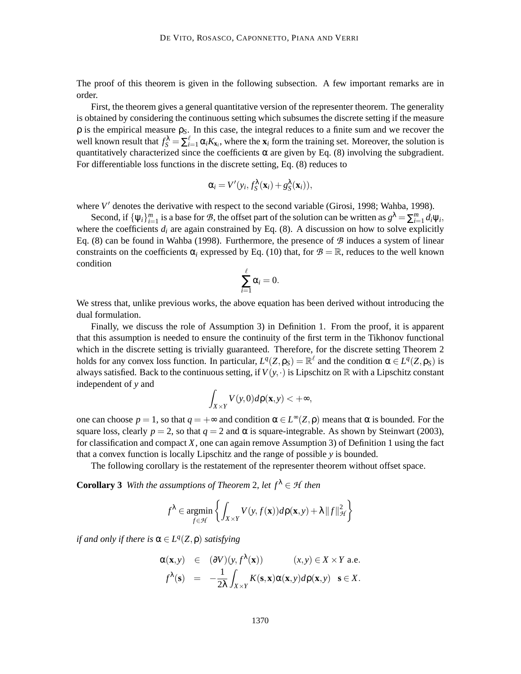The proof of this theorem is given in the following subsection. A few important remarks are in order.

First, the theorem gives a general quantitative version of the representer theorem. The generality is obtained by considering the continuous setting which subsumes the discrete setting if the measure ρ is the empirical measure ρ*S*. In this case, the integral reduces to a finite sum and we recover the well known result that  $f_S^{\lambda} = \sum_{i=1}^{\ell} \alpha_i K_{\mathbf{x}_i}$ , where the  $\mathbf{x}_i$  form the training set. Moreover, the solution is quantitatively characterized since the coefficients  $\alpha$  are given by Eq. (8) involving the subgradient. For differentiable loss functions in the discrete setting, Eq. (8) reduces to

$$
\alpha_i = V'(y_i, f_S^{\lambda}(\mathbf{x}_i) + g_S^{\lambda}(\mathbf{x}_i)),
$$

where  $V'$  denotes the derivative with respect to the second variable (Girosi, 1998; Wahba, 1998).

Second, if  $\{\psi_i\}_{i=1}^m$  is a base for  $B$ , the offset part of the solution can be written as  $g^{\lambda} = \sum_{i=1}^m d_i \psi_i$ , where the coefficients  $d_i$  are again constrained by Eq. (8). A discussion on how to solve explicitly Eq. (8) can be found in Wahba (1998). Furthermore, the presence of  $\mathcal{B}$  induces a system of linear constraints on the coefficients  $\alpha_i$  expressed by Eq. (10) that, for  $\mathcal{B} = \mathbb{R}$ , reduces to the well known condition

$$
\sum_{i=1}^{\ell} \alpha_i = 0.
$$

We stress that, unlike previous works, the above equation has been derived without introducing the dual formulation.

Finally, we discuss the role of Assumption 3) in Definition 1. From the proof, it is apparent that this assumption is needed to ensure the continuity of the first term in the Tikhonov functional which in the discrete setting is trivially guaranteed. Therefore, for the discrete setting Theorem 2 holds for any convex loss function. In particular,  $L^q(Z, \rho_S) = \mathbb{R}^{\ell}$  and the condition  $\alpha \in L^q(Z, \rho_S)$  is always satisfied. Back to the continuous setting, if  $V(y, \cdot)$  is Lipschitz on R with a Lipschitz constant independent of *y* and

$$
\int_{X\times Y} V(y,0) d\rho(\mathbf{x},y) < +\infty,
$$

one can choose  $p = 1$ , so that  $q = +\infty$  and condition  $\alpha \in L^{\infty}(Z, \rho)$  means that  $\alpha$  is bounded. For the square loss, clearly  $p = 2$ , so that  $q = 2$  and  $\alpha$  is square-integrable. As shown by Steinwart (2003), for classification and compact *X*, one can again remove Assumption 3) of Definition 1 using the fact that a convex function is locally Lipschitz and the range of possible *y* is bounded.

The following corollary is the restatement of the representer theorem without offset space.

**Corollary 3** *With the assumptions of Theorem 2, let*  $f^{\lambda} \in \mathcal{H}$  *then* 

$$
f^{\lambda} \in \operatorname*{argmin}_{f \in \mathcal{H}} \left\{ \int_{X \times Y} V(y, f(\mathbf{x})) d\rho(\mathbf{x}, y) + \lambda \|f\|_{\mathcal{H}}^2 \right\}
$$

*if and only if there is*  $\alpha \in L^q(Z, \rho)$  *satisfying* 

$$
\alpha(\mathbf{x},y) \in (\partial V)(y, f^{\lambda}(\mathbf{x})) \qquad (x,y) \in X \times Y \text{ a.e.}
$$
  

$$
f^{\lambda}(\mathbf{s}) = -\frac{1}{2\lambda} \int_{X \times Y} K(\mathbf{s}, \mathbf{x}) \alpha(\mathbf{x}, y) d\rho(\mathbf{x}, y) \quad \mathbf{s} \in X.
$$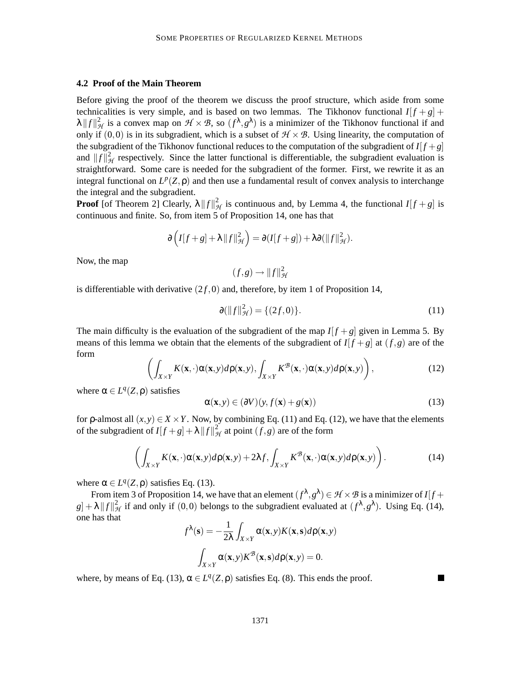#### **4.2 Proof of the Main Theorem**

Before giving the proof of the theorem we discuss the proof structure, which aside from some technicalities is very simple, and is based on two lemmas. The Tikhonov functional  $I[f+g]$  +  $\lambda \|f\|_{\mathcal{H}}^2$  is a convex map on  $\mathcal{H} \times \mathcal{B}$ , so  $(f^{\lambda}, g^{\lambda})$  is a minimizer of the Tikhonov functional if and only if  $(0,0)$  is in its subgradient, which is a subset of  $\mathcal{H} \times \mathcal{B}$ . Using linearity, the computation of the subgradient of the Tikhonov functional reduces to the computation of the subgradient of  $I[f+g]$ and  $||f||_{\mathcal{H}}^2$  respectively. Since the latter functional is differentiable, the subgradient evaluation is straightforward. Some care is needed for the subgradient of the former. First, we rewrite it as an integral functional on  $L^p(Z, \rho)$  and then use a fundamental result of convex analysis to interchange the integral and the subgradient.

**Proof** [of Theorem 2] Clearly,  $\lambda ||f||^2_{\mathcal{H}}$  is continuous and, by Lemma 4, the functional  $I[f+g]$  is continuous and finite. So, from item 5 of Proposition 14, one has that

$$
\partial \left( I[f+g]+\lambda \|f\|_{\mathcal{H}}^2 \right) = \partial (I[f+g]) + \lambda \partial (\|f\|_{\mathcal{H}}^2).
$$

Now, the map

$$
(f,g)\to ||f||^2_{\mathcal{H}}
$$

is differentiable with derivative  $(2f,0)$  and, therefore, by item 1 of Proposition 14,

$$
\partial(\|f\|_{\mathcal{H}}^2) = \{(2f, 0)\}.
$$
\n(11)

The main difficulty is the evaluation of the subgradient of the map  $I[f+g]$  given in Lemma 5. By means of this lemma we obtain that the elements of the subgradient of  $I[f+g]$  at  $(f,g)$  are of the form

$$
\left(\int_{X\times Y} K(\mathbf{x},\cdot)\alpha(\mathbf{x},y)d\rho(\mathbf{x},y),\int_{X\times Y} K^{\mathcal{B}}(\mathbf{x},\cdot)\alpha(\mathbf{x},y)d\rho(\mathbf{x},y)\right),\tag{12}
$$

where  $\alpha \in L^q(Z, \rho)$  satisfies

$$
\alpha(\mathbf{x}, y) \in (\partial V)(y, f(\mathbf{x}) + g(\mathbf{x})) \tag{13}
$$

for *ρ*-almost all  $(x, y) \in X \times Y$ . Now, by combining Eq. (11) and Eq. (12), we have that the elements of the subgradient of  $I[f+g]+ \lambda ||f||^2_{\mathcal{H}}$  at point  $(f,g)$  are of the form

$$
\left(\int_{X\times Y} K(\mathbf{x},\cdot)\alpha(\mathbf{x},y)d\rho(\mathbf{x},y) + 2\lambda f, \int_{X\times Y} K^{\mathcal{B}}(\mathbf{x},\cdot)\alpha(\mathbf{x},y)d\rho(\mathbf{x},y)\right).
$$
 (14)

where  $\alpha \in L^q(Z, \rho)$  satisfies Eq. (13).

From item 3 of Proposition 14, we have that an element  $(f^{\lambda}, g^{\lambda}) \in \mathcal{H} \times \mathcal{B}$  is a minimizer of  $I[f + g^{\lambda}]$  $g$  +  $\lambda$  || $f$ || $^2$ <sub>*H*</sub> if and only if (0,0) belongs to the subgradient evaluated at ( $f^{\lambda}, g^{\lambda}$ ). Using Eq. (14), one has that

$$
f^{\lambda}(\mathbf{s}) = -\frac{1}{2\lambda} \int_{X \times Y} \alpha(\mathbf{x}, y) K(\mathbf{x}, \mathbf{s}) d\rho(\mathbf{x}, y)
$$

$$
\int_{X \times Y} \alpha(\mathbf{x}, y) K^{\mathcal{B}}(\mathbf{x}, \mathbf{s}) d\rho(\mathbf{x}, y) = 0.
$$

where, by means of Eq. (13),  $\alpha \in L^q(Z, \rho)$  satisfies Eq. (8). This ends the proof.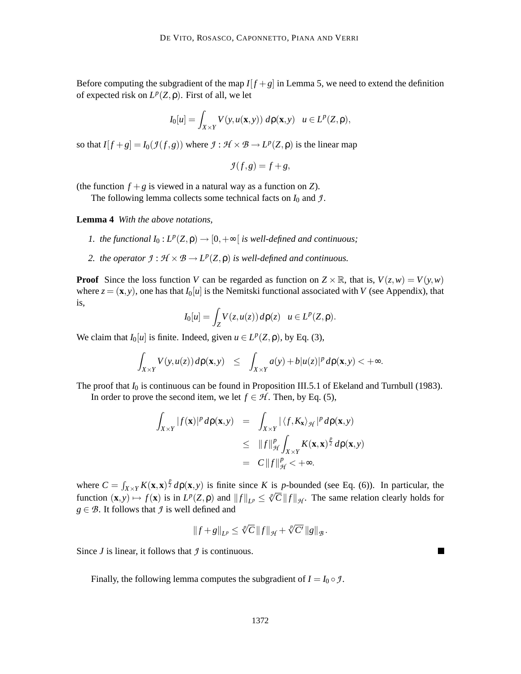Before computing the subgradient of the map  $I[f+g]$  in Lemma 5, we need to extend the definition of expected risk on  $L^p(Z, \rho)$ . First of all, we let

$$
I_0[u] = \int_{X \times Y} V(y, u(\mathbf{x}, y)) \, d\rho(\mathbf{x}, y) \quad u \in L^p(Z, \rho),
$$

so that  $I[f+g] = I_0(\mathcal{I}(f,g))$  where  $\mathcal{I}: \mathcal{H} \times \mathcal{B} \to L^p(Z,\rho)$  is the linear map

$$
\mathcal{I}(f,g) = f + g,
$$

(the function  $f + g$  is viewed in a natural way as a function on *Z*).

The following lemma collects some technical facts on  $I_0$  and  $\mathcal{I}$ .

**Lemma 4** *With the above notations,*

- *1. the functional*  $I_0: L^p(Z, \rho) \to [0, +\infty[$  *is well-defined and continuous;*
- 2. the operator  $\mathcal{I}: \mathcal{H} \times \mathcal{B} \to L^p(\mathbb{Z}, \rho)$  *is well-defined and continuous.*

**Proof** Since the loss function *V* can be regarded as function on  $Z \times \mathbb{R}$ , that is,  $V(z, w) = V(y, w)$ where  $z = (\mathbf{x}, y)$ , one has that  $I_0[u]$  is the Nemitski functional associated with *V* (see Appendix), that is,

$$
I_0[u] = \int_Z V(z, u(z)) d\rho(z) \quad u \in L^p(Z, \rho).
$$

We claim that  $I_0[u]$  is finite. Indeed, given  $u \in L^p(Z, \rho)$ , by Eq. (3),

$$
\int_{X\times Y} V(y,u(z)) d\rho(\mathbf{x},y) \leq \int_{X\times Y} a(y) + b|u(z)|^p d\rho(\mathbf{x},y) < +\infty.
$$

The proof that *I*<sub>0</sub> is continuous can be found in Proposition III.5.1 of Ekeland and Turnbull (1983).

In order to prove the second item, we let  $f \in \mathcal{H}$ . Then, by Eq. (5),

$$
\int_{X \times Y} |f(\mathbf{x})|^p d\rho(\mathbf{x}, y) = \int_{X \times Y} |\langle f, K_{\mathbf{x}} \rangle_{\mathcal{H}}|^p d\rho(\mathbf{x}, y)
$$
\n
$$
\leq \|f\|_{\mathcal{H}}^p \int_{X \times Y} K(\mathbf{x}, \mathbf{x})^{\frac{p}{2}} d\rho(\mathbf{x}, y)
$$
\n
$$
= C \|f\|_{\mathcal{H}}^p < +\infty.
$$

where  $C = \int_{X \times Y} K(\mathbf{x}, \mathbf{x})^{\frac{p}{2}} d\rho(\mathbf{x}, y)$  is finite since *K* is *p*-bounded (see Eq. (6)). In particular, the function  $(\mathbf{x}, y) \mapsto f(\mathbf{x})$  is in  $L^p(Z, \rho)$  and  $||f||_{L^p} \le \sqrt[p]{C} ||f||_{\mathcal{H}}$ . The same relation clearly holds for  $g \in \mathcal{B}$ . It follows that  $\mathcal{I}$  is well defined and

$$
\left\|f+g\right\|_{L^p}\leq\sqrt[p]{C}\left\|f\right\|_{\mathcal{H}}+\sqrt[p]{C'}\left\|g\right\|_{\mathcal{B}}.
$$

 $\blacksquare$ 

Since  $J$  is linear, it follows that  $J$  is continuous.

Finally, the following lemma computes the subgradient of  $I = I_0 \circ \mathcal{I}$ .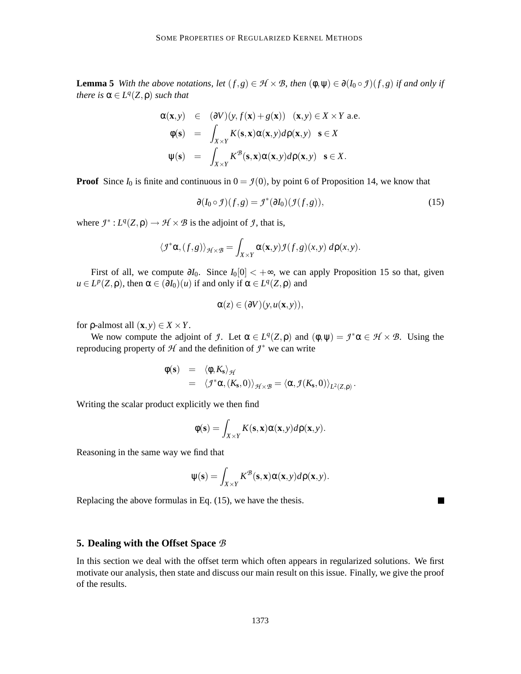**Lemma 5** *With the above notations, let*  $(f, g) \in \mathcal{H} \times \mathcal{B}$ *, then*  $(\phi, \psi) \in \partial(I_0 \circ f)(f, g)$  *if and only if there is*  $\alpha \in L^q(Z, \rho)$  *such that* 

$$
\alpha(\mathbf{x}, y) \in (\partial V)(y, f(\mathbf{x}) + g(\mathbf{x})) \quad (\mathbf{x}, y) \in X \times Y \text{ a.e.}
$$
  
\n
$$
\phi(\mathbf{s}) = \int_{X \times Y} K(\mathbf{s}, \mathbf{x}) \alpha(\mathbf{x}, y) d\rho(\mathbf{x}, y) \quad \mathbf{s} \in X
$$
  
\n
$$
\psi(\mathbf{s}) = \int_{X \times Y} K^{\mathcal{B}}(\mathbf{s}, \mathbf{x}) \alpha(\mathbf{x}, y) d\rho(\mathbf{x}, y) \quad \mathbf{s} \in X.
$$

**Proof** Since  $I_0$  is finite and continuous in  $0 = \mathcal{I}(0)$ , by point 6 of Proposition 14, we know that

$$
\partial(I_0 \circ \mathcal{I})(f,g) = \mathcal{I}^*(\partial I_0)(\mathcal{I}(f,g)),\tag{15}
$$

П

where  $\mathcal{I}^*: L^q(Z, \rho) \to \mathcal{H} \times \mathcal{B}$  is the adjoint of  $\mathcal{I}$ , that is,

$$
\langle \mathcal{I}^* \alpha, (f,g) \rangle_{\mathcal{H} \times \mathcal{B}} = \int_{X \times Y} \alpha(\mathbf{x}, y) \mathcal{I}(f,g)(x, y) \, d\rho(x, y).
$$

First of all, we compute ∂*I*0. Since *I*0[0] < +∞, we can apply Proposition 15 so that, given  $u \in L^p(\mathbb{Z}, \rho)$ , then  $\alpha \in (\partial I_0)(u)$  if and only if  $\alpha \in L^q(\mathbb{Z}, \rho)$  and

$$
\alpha(z) \in (\partial V)(y, u(\mathbf{x}, y)),
$$

for  $\rho$ -almost all  $(\mathbf{x}, y) \in X \times Y$ .

We now compute the adjoint of *J*. Let  $\alpha \in L^q(Z, \rho)$  and  $(\phi, \psi) = \mathcal{I}^* \alpha \in \mathcal{H} \times \mathcal{B}$ . Using the reproducing property of  $H$  and the definition of  $\mathcal{I}^*$  we can write

$$
\begin{array}{rcl}\n\phi(\mathbf{s}) & = & \langle \phi, K_{\mathbf{s}} \rangle_{\mathcal{H}} \\
& = & \langle \mathcal{I}^* \alpha, (K_{\mathbf{s}}, 0) \rangle_{\mathcal{H} \times \mathcal{B}} = \langle \alpha, \mathcal{I}(K_{\mathbf{s}}, 0) \rangle_{L^2(Z, \rho)}\,.\n\end{array}
$$

Writing the scalar product explicitly we then find

$$
\phi(\mathbf{s}) = \int_{X \times Y} K(\mathbf{s}, \mathbf{x}) \alpha(\mathbf{x}, y) d\mathbf{p}(\mathbf{x}, y).
$$

Reasoning in the same way we find that

$$
\psi(\mathbf{s}) = \int_{X \times Y} K^{\mathcal{B}}(\mathbf{s}, \mathbf{x}) \alpha(\mathbf{x}, y) d\mathbf{p}(\mathbf{x}, y).
$$

Replacing the above formulas in Eq. (15), we have the thesis.

#### **5. Dealing with the Offset Space** B

In this section we deal with the offset term which often appears in regularized solutions. We first motivate our analysis, then state and discuss our main result on this issue. Finally, we give the proof of the results.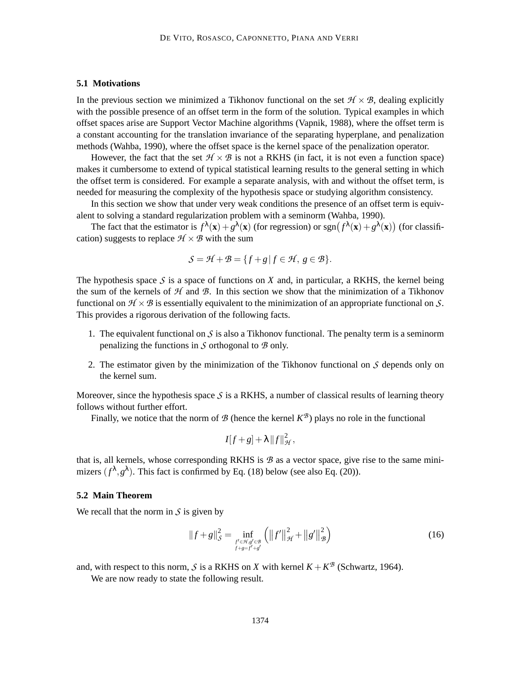#### **5.1 Motivations**

In the previous section we minimized a Tikhonov functional on the set  $\mathcal{H} \times \mathcal{B}$ , dealing explicitly with the possible presence of an offset term in the form of the solution. Typical examples in which offset spaces arise are Support Vector Machine algorithms (Vapnik, 1988), where the offset term is a constant accounting for the translation invariance of the separating hyperplane, and penalization methods (Wahba, 1990), where the offset space is the kernel space of the penalization operator.

However, the fact that the set  $H \times B$  is not a RKHS (in fact, it is not even a function space) makes it cumbersome to extend of typical statistical learning results to the general setting in which the offset term is considered. For example a separate analysis, with and without the offset term, is needed for measuring the complexity of the hypothesis space or studying algorithm consistency.

In this section we show that under very weak conditions the presence of an offset term is equivalent to solving a standard regularization problem with a seminorm (Wahba, 1990).

The fact that the estimator is  $f^{\lambda}(\mathbf{x}) + g^{\lambda}(\mathbf{x})$  (for regression) or  $sgn(f^{\lambda}(\mathbf{x}) + g^{\lambda}(\mathbf{x}))$  (for classification) suggests to replace  $\mathcal{H} \times \mathcal{B}$  with the sum

$$
\mathcal{S} = \mathcal{H} + \mathcal{B} = \{ f + g \, | \, f \in \mathcal{H}, \, g \in \mathcal{B} \}.
$$

The hypothesis space  $S$  is a space of functions on  $X$  and, in particular, a RKHS, the kernel being the sum of the kernels of  $H$  and  $B$ . In this section we show that the minimization of a Tikhonov functional on  $\mathcal{H} \times \mathcal{B}$  is essentially equivalent to the minimization of an appropriate functional on S. This provides a rigorous derivation of the following facts.

- 1. The equivalent functional on  $\mathcal S$  is also a Tikhonov functional. The penalty term is a seminorm penalizing the functions in  $\mathcal S$  orthogonal to  $\mathcal B$  only.
- 2. The estimator given by the minimization of the Tikhonov functional on  $S$  depends only on the kernel sum.

Moreover, since the hypothesis space  $S$  is a RKHS, a number of classical results of learning theory follows without further effort.

Finally, we notice that the norm of  $\mathcal B$  (hence the kernel  $K^{\mathcal B}$ ) plays no role in the functional

$$
I[f+g]+\lambda ||f||^2_{\mathcal{H}},
$$

that is, all kernels, whose corresponding RKHS is  $B$  as a vector space, give rise to the same minimizers  $(f^{\lambda}, g^{\lambda})$ . This fact is confirmed by Eq. (18) below (see also Eq. (20)).

#### **5.2 Main Theorem**

We recall that the norm in  $\mathcal S$  is given by

$$
||f+g||_{\mathcal{S}}^{2} = \inf_{\substack{f' \in \mathcal{H}, g' \in \mathcal{B} \\ f+g=f'+g'}} \left( ||f'||_{\mathcal{H}}^{2} + ||g'||_{\mathcal{B}}^{2} \right)
$$
(16)

and, with respect to this norm, S is a RKHS on X with kernel  $K + K^{\mathcal{B}}$  (Schwartz, 1964).

We are now ready to state the following result.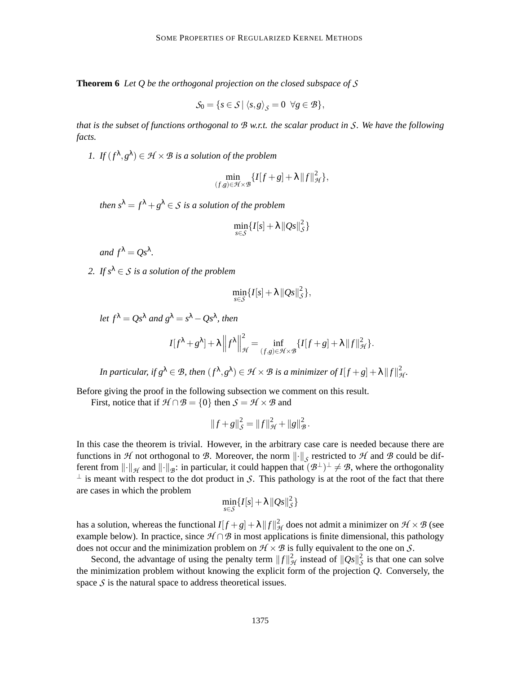**Theorem 6** *Let Q be the orthogonal projection on the closed subspace of* S

$$
\mathcal{S}_0 = \{ s \in \mathcal{S} \mid \langle s, g \rangle_{\mathcal{S}} = 0 \ \ \forall g \in \mathcal{B} \},
$$

*that is the subset of functions orthogonal to* B *w.r.t. the scalar product in* S*. We have the following facts.*

*1.* If  $(f^{\lambda}, g^{\lambda}) \in \mathcal{H} \times \mathcal{B}$  *is a solution of the problem* 

$$
\min_{(f,g)\in\mathcal{H}\times\mathcal{B}}\{I[f+g]+\lambda\|f\|_{\mathcal{H}}^2\},\,
$$

*then*  $s^{\lambda} = f^{\lambda} + g^{\lambda} \in S$  *is a solution of the problem* 

$$
\min_{s \in \mathcal{S}} \{I[s] + \lambda \|Qs\|_{\mathcal{S}}^2\}
$$

*and*  $f^{\lambda} = Qs^{\lambda}$ .

2. If  $s^{\lambda} \in S$  *is a solution of the problem* 

$$
\min_{s\in\mathcal{S}}\{I[s]+\lambda\|Qs\|_{\mathcal{S}}^2\},\
$$

let 
$$
f^{\lambda} = Qs^{\lambda}
$$
 and  $g^{\lambda} = s^{\lambda} - Qs^{\lambda}$ , then  
\n
$$
I[f^{\lambda} + g^{\lambda}] + \lambda \left\| f^{\lambda} \right\|_{\mathcal{H}}^{2} = \inf_{(f,g) \in \mathcal{H} \times \mathcal{B}} \{ I[f+g] + \lambda \| f \|_{\mathcal{H}}^{2} \}.
$$

In particular, if  $g^{\lambda} \in \mathcal{B}$ , then  $(f^{\lambda}, g^{\lambda}) \in \mathcal{H} \times \mathcal{B}$  is a minimizer of  $I[f+g]+\lambda \|f\|_{\mathcal{H}}^2$ .

Before giving the proof in the following subsection we comment on this result.

First, notice that if  $\mathcal{H} \cap \mathcal{B} = \{0\}$  then  $\mathcal{S} = \mathcal{H} \times \mathcal{B}$  and

$$
||f+g||_{\mathcal{S}}^{2} = ||f||_{\mathcal{H}}^{2} + ||g||_{\mathcal{B}}^{2}.
$$

In this case the theorem is trivial. However, in the arbitrary case care is needed because there are functions in H not orthogonal to B. Moreover, the norm  $\left\| \cdot \right\|_{\mathcal{S}}$  restricted to H and B could be different from  $\lVert \cdot \rVert_{\mathcal{H}}$  and  $\lVert \cdot \rVert_{\mathcal{B}}$ : in particular, it could happen that  $(\mathcal{B}^{\perp})^{\perp} \neq \mathcal{B}$ , where the orthogonality  $\perp$  is meant with respect to the dot product in S. This pathology is at the root of the fact that there are cases in which the problem

$$
\min_{s\in\mathcal{S}}\{I[s]+\lambda\|Qs\|_{\mathcal{S}}^2\}
$$

has a solution, whereas the functional  $I[f+g]+\lambda \|f\|_{\mathcal{H}}^2$  does not admit a minimizer on  $\mathcal{H}\times\mathcal{B}$  (see example below). In practice, since  $\mathcal{H} \cap \mathcal{B}$  in most applications is finite dimensional, this pathology does not occur and the minimization problem on  $H \times B$  is fully equivalent to the one on S.

Second, the advantage of using the penalty term  $||f||_{\mathcal{H}}^2$  instead of  $||Qs||_{\mathcal{S}}^2$  is that one can solve the minimization problem without knowing the explicit form of the projection *Q*. Conversely, the space  $S$  is the natural space to address theoretical issues.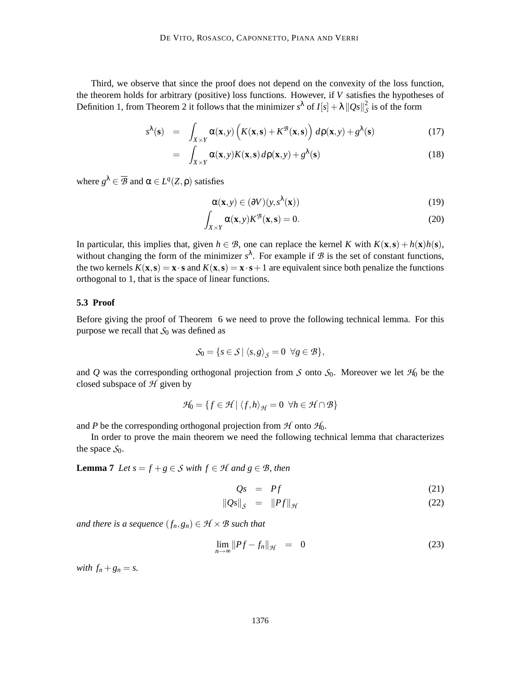Third, we observe that since the proof does not depend on the convexity of the loss function, the theorem holds for arbitrary (positive) loss functions. However, if *V* satisfies the hypotheses of Definition 1, from Theorem 2 it follows that the minimizer  $s^{\lambda}$  of  $I[s] + \lambda ||Qs||_S^2$  is of the form

$$
s^{\lambda}(\mathbf{s}) = \int_{X \times Y} \alpha(\mathbf{x}, y) \left( K(\mathbf{x}, \mathbf{s}) + K^{\mathcal{B}}(\mathbf{x}, \mathbf{s}) \right) d\rho(\mathbf{x}, y) + g^{\lambda}(\mathbf{s}) \tag{17}
$$

$$
= \int_{X \times Y} \alpha(\mathbf{x}, y) K(\mathbf{x}, \mathbf{s}) d\rho(\mathbf{x}, y) + g^{\lambda}(\mathbf{s}) \tag{18}
$$

where  $g^{\lambda} \in \overline{\mathcal{B}}$  and  $\alpha \in L^{q}(Z, \rho)$  satisfies

$$
\alpha(\mathbf{x}, y) \in (\partial V)(y, s^{\lambda}(\mathbf{x})) \tag{19}
$$

$$
\int_{X \times Y} \alpha(\mathbf{x}, y) K^{\mathcal{B}}(\mathbf{x}, \mathbf{s}) = 0.
$$
\n(20)

In particular, this implies that, given  $h \in \mathcal{B}$ , one can replace the kernel *K* with  $K(\mathbf{x}, \mathbf{s}) + h(\mathbf{x})h(\mathbf{s})$ , without changing the form of the minimizer  $s^{\lambda}$ . For example if  $\mathcal{B}$  is the set of constant functions, the two kernels  $K(\mathbf{x}, \mathbf{s}) = \mathbf{x} \cdot \mathbf{s}$  and  $K(\mathbf{x}, \mathbf{s}) = \mathbf{x} \cdot \mathbf{s} + 1$  are equivalent since both penalize the functions orthogonal to 1, that is the space of linear functions.

#### **5.3 Proof**

Before giving the proof of Theorem 6 we need to prove the following technical lemma. For this purpose we recall that  $S_0$  was defined as

$$
\mathcal{S}_0 = \{ s \in \mathcal{S} \mid \langle s, g \rangle_{\mathcal{S}} = 0 \ \forall g \in \mathcal{B} \},
$$

and Q was the corresponding orthogonal projection from S onto  $S_0$ . Moreover we let  $\mathcal{H}_0$  be the closed subspace of  $H$  given by

$$
\mathcal{H}_0 = \{ f \in \mathcal{H} \mid \langle f, h \rangle_{\mathcal{H}} = 0 \ \forall h \in \mathcal{H} \cap \mathcal{B} \}
$$

and *P* be the corresponding orthogonal projection from  $H$  onto  $H_0$ .

In order to prove the main theorem we need the following technical lemma that characterizes the space  $S_0$ .

**Lemma 7** *Let*  $s = f + g \in S$  *with*  $f \in H$  *and*  $g \in B$ *, then* 

$$
Qs = Pf \tag{21}
$$

$$
\|Qs\|_{\mathcal{S}} = \|Pf\|_{\mathcal{H}} \tag{22}
$$

*and there is a sequence*  $(f_n, g_n) \in \mathcal{H} \times \mathcal{B}$  *such that* 

$$
\lim_{n \to \infty} \|Pf - f_n\|_{\mathcal{H}} = 0 \tag{23}
$$

*with*  $f_n + g_n = s$ .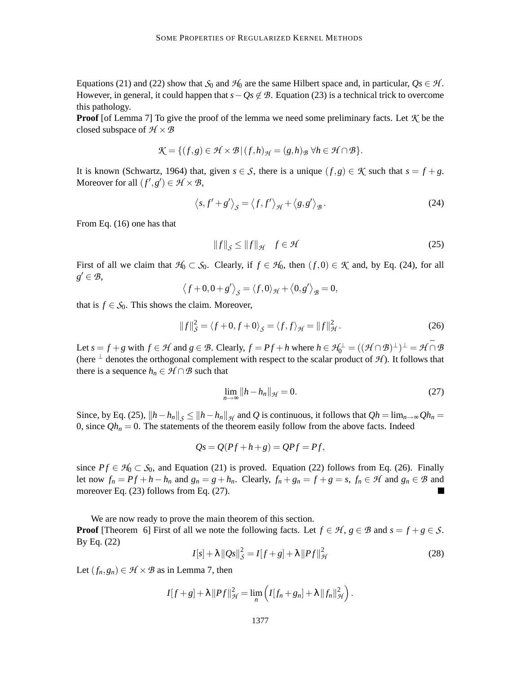Equations (21) and (22) show that  $S_0$  and  $H_0$  are the same Hilbert space and, in particular,  $Q_s \in H$ . However, in general, it could happen that  $s - Qs \notin \mathcal{B}$ . Equation (23) is a technical trick to overcome this pathology.

**Proof** [of Lemma 7] To give the proof of the lemma we need some preliminary facts. Let  $K$  be the closed subspace of  $H \times B$ 

$$
\mathcal{K}=\{(f,g)\in \mathcal{H}\times \mathcal{B}\,|\,(f,h)_{\mathcal{H}}=(g,h)_{\mathcal{B}}\ \forall h\in \mathcal{H}\cap \mathcal{B}\}.
$$

It is known (Schwartz, 1964) that, given  $s \in S$ , there is a unique  $(f, g) \in K$  such that  $s = f + g$ . Moreover for all  $(f', g') \in \mathcal{H} \times \mathcal{B}$ ,

$$
\langle s, f' + g' \rangle_{\mathcal{S}} = \langle f, f' \rangle_{\mathcal{H}} + \langle g, g' \rangle_{\mathcal{B}}.
$$
 (24)

From Eq. (16) one has that

$$
\|f\|_{\mathcal{S}} \le \|f\|_{\mathcal{H}} \quad f \in \mathcal{H}
$$
 (25)

First of all we claim that  $\mathcal{H}_0 \subset \mathcal{S}_0$ . Clearly, if  $f \in \mathcal{H}_0$ , then  $(f,0) \in \mathcal{K}$  and, by Eq. (24), for all  $g' \in \mathcal{B}$ ,

$$
\langle f+0,0+g'\rangle_{\mathcal{S}} = \langle f,0\rangle_{\mathcal{H}} + \langle 0,g'\rangle_{\mathcal{B}} = 0,
$$

that is  $f \in S_0$ . This shows the claim. Moreover,

$$
||f||_{S}^{2} = \langle f+0, f+0 \rangle_{S} = \langle f, f \rangle_{\mathcal{H}} = ||f||_{\mathcal{H}}^{2}.
$$
 (26)

Let  $s = f + g$  with  $f \in \mathcal{H}$  and  $g \in \mathcal{B}$ . Clearly,  $f = Pf + h$  where  $h \in \mathcal{H}_0^{\perp} = ((\mathcal{H} \cap \mathcal{B})^{\perp})^{\perp} = \mathcal{H} \cap \mathcal{B}$ (here  $\perp$  denotes the orthogonal complement with respect to the scalar product of  $\mathcal{H}$ ). It follows that there is a sequence  $h_n \in \mathcal{H} \cap \mathcal{B}$  such that

$$
\lim_{n \to \infty} \|h - h_n\|_{\mathcal{H}} = 0. \tag{27}
$$

Since, by Eq. (25),  $||h-h_n||_{\mathcal{S}} \le ||h-h_n||_{\mathcal{H}}$  and *Q* is continuous, it follows that  $Qh = \lim_{n\to\infty} Qh_n =$ 0, since  $Qh_n = 0$ . The statements of the theorem easily follow from the above facts. Indeed

$$
Qs = Q(Pf + h + g) = QPf = Pf,
$$

since  $Pf \in H_0 \subset S_0$ , and Equation (21) is proved. Equation (22) follows from Eq. (26). Finally let now  $f_n = Pf + h - h_n$  and  $g_n = g + h_n$ . Clearly,  $f_n + g_n = f + g = s$ ,  $f_n \in H$  and  $g_n \in B$  and moreover Eq. (23) follows from Eq. (27).

We are now ready to prove the main theorem of this section.

**Proof** [Theorem 6] First of all we note the following facts. Let  $f \in \mathcal{H}$ ,  $g \in \mathcal{B}$  and  $s = f + g \in \mathcal{S}$ . By Eq. (22)

$$
I[s] + \lambda ||Qs||_{\mathcal{S}}^{2} = I[f+g] + \lambda ||Pf||_{\mathcal{H}}^{2}
$$
 (28)

Let  $(f_n, g_n) \in \mathcal{H} \times \mathcal{B}$  as in Lemma 7, then

$$
I[f+g]+\lambda\|Pf\|_{\mathcal{H}}^2=\lim_n\left(I[f_n+g_n]+\lambda\|f_n\|_{\mathcal{H}}^2\right).
$$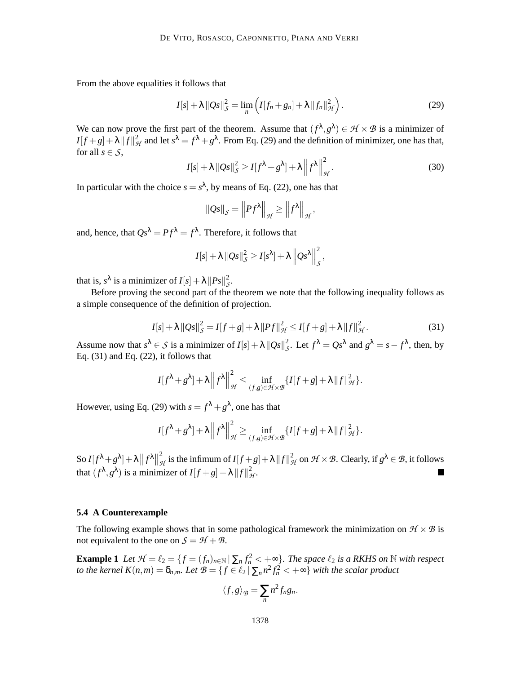From the above equalities it follows that

$$
I[s] + \lambda ||Qs||_{\mathcal{S}}^2 = \lim_{n} \left( I[f_n + g_n] + \lambda ||f_n||_{\mathcal{H}}^2 \right).
$$
 (29)

We can now prove the first part of the theorem. Assume that  $(f^{\lambda}, g^{\lambda}) \in \mathcal{H} \times \mathcal{B}$  is a minimizer of  $I[f+g]+\lambda \|\hat{f}\|^2_{\mathcal{H}}$  and let  $s^{\lambda} = f^{\lambda} + g^{\lambda}$ . From Eq. (29) and the definition of minimizer, one has that, for all  $s \in S$ ,

$$
I[s] + \lambda ||Qs||_{\mathcal{S}}^2 \ge I[f^{\lambda} + g^{\lambda}] + \lambda ||f^{\lambda}||_{\mathcal{H}}^2.
$$
 (30)

In particular with the choice  $s = s^{\lambda}$ , by means of Eq. (22), one has that

$$
\|Qs\|_{\mathcal{S}} = \left\|Pf^{\lambda}\right\|_{\mathcal{H}} \ge \left\|f^{\lambda}\right\|_{\mathcal{H}},
$$

and, hence, that  $Qs^{\lambda} = Pf^{\lambda} = f^{\lambda}$ . Therefore, it follows that

$$
I[s]+\lambda ||Qs||_S^2 \geq I[s^{\lambda}]+\lambda ||Qs^{\lambda}||_S^2,
$$

that is,  $s^{\lambda}$  is a minimizer of  $I[s] + \lambda ||Ps||^2_{\mathcal{S}}$ .

Before proving the second part of the theorem we note that the following inequality follows as a simple consequence of the definition of projection.

$$
I[s] + \lambda ||Qs||_{\mathcal{S}}^{2} = I[f+g] + \lambda ||Pf||_{\mathcal{H}}^{2} \leq I[f+g] + \lambda ||f||_{\mathcal{H}}^{2}.
$$
 (31)

Assume now that  $s^{\lambda} \in S$  is a minimizer of  $I[s] + \lambda ||Qs||_S^2$ . Let  $f^{\lambda} = Qs^{\lambda}$  and  $g^{\lambda} = s - f^{\lambda}$ , then, by Eq.  $(31)$  and Eq.  $(22)$ , it follows that

$$
I[f^{\lambda}+g^{\lambda}]+\lambda\left\|f^{\lambda}\right\|_{\mathcal{H}}^{2}\leq\inf_{(f,g)\in\mathcal{H}\times\mathcal{B}}\{I[f+g]+\lambda\left\|f\right\|_{\mathcal{H}}^{2}\}.
$$

However, using Eq. (29) with  $s = f^{\lambda} + g^{\lambda}$ , one has that

$$
I[f^{\lambda}+g^{\lambda}]+\lambda\left\|f^{\lambda}\right\|^{2}_{\mathcal{H}}\geq\inf_{(f,g)\in\mathcal{H}\times\mathcal{B}}\{I[f+g]+\lambda\left\|f\right\|^{2}_{\mathcal{H}}\}.
$$

So  $I[f^{\lambda}+g^{\lambda}]+\lambda ||f^{\lambda}||$ 2  $\frac{d^2}{dt^2}$  is the infimum of  $I[f+g]+ \lambda \|f\|_{\mathcal{H}}^2$  on  $\mathcal{H} \times \mathcal{B}$ . Clearly, if  $g^{\lambda} \in \mathcal{B}$ , it follows that  $(f^{\lambda}, g^{\lambda})$  is a minimizer of  $I[f+g] + \lambda ||f||^2_{\mathcal{H}}$ .

#### **5.4 A Counterexample**

The following example shows that in some pathological framework the minimization on  $\mathcal{H} \times \mathcal{B}$  is not equivalent to the one on  $S = H + B$ .

**Example 1** *Let*  $\mathcal{H} = \ell_2 = \{ f = (f_n)_{n \in \mathbb{N}} \mid \sum_n f_n^2 < +\infty \}$ . The space  $\ell_2$  is a RKHS on N with respect *to the kernel*  $K(n,m) = \delta_{n,m}$ *. Let*  $B = \{f \in \ell_2 | \sum_n n^2 f_n^2 < +\infty\}$  *with the scalar product* 

$$
\langle f,g\rangle_{\mathcal{B}}=\sum_{n}n^2f_ng_n.
$$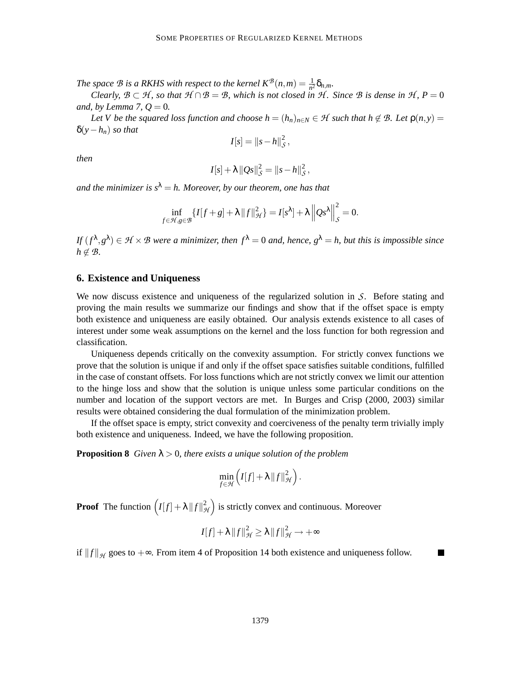*The space*  $B$  *is a RKHS with respect to the kernel*  $K^{\mathcal{B}}(n,m) = \frac{1}{n^2} \delta_{n,m}$ .

*Clearly,*  $\mathcal{B} \subset \mathcal{H}$ *, so that*  $\mathcal{H} \cap \mathcal{B} = \mathcal{B}$ *, which is not closed in*  $\mathcal{H}$ *. Since*  $\mathcal{B}$  *is dense in*  $\mathcal{H}$ *,*  $P = 0$ *and, by Lemma 7,*  $Q = 0$ *.* 

*Let V be the squared loss function and choose*  $h = (h_n)_{n \in N} \in \mathcal{H}$  *such that*  $h \notin \mathcal{B}$ *<i>. Let*  $p(n, y) =$ δ(*y*−*hn*) *so that*

$$
I[s] = ||s-h||^2_{\mathcal{S}},
$$

*then*

$$
I[s] + \lambda ||Qs||_{\mathcal{S}}^{2} = ||s - h||_{\mathcal{S}}^{2},
$$

*and the minimizer is*  $s^{\lambda} = h$ *. Moreover, by our theorem, one has that* 

$$
\inf_{f \in \mathcal{H}, g \in \mathcal{B}} \{I[f+g] + \lambda \|f\|_{\mathcal{H}}^2\} = I[s^{\lambda}] + \lambda \left\|Qs^{\lambda}\right\|_{\mathcal{S}}^2 = 0.
$$

*If*  $(f^{\lambda}, g^{\lambda}) \in H \times B$  *were a minimizer, then*  $f^{\lambda} = 0$  *and, hence,*  $g^{\lambda} = h$ *, but this is impossible since*  $h \notin \mathcal{B}$ *.* 

#### **6. Existence and Uniqueness**

We now discuss existence and uniqueness of the regularized solution in  $\mathcal{S}$ . Before stating and proving the main results we summarize our findings and show that if the offset space is empty both existence and uniqueness are easily obtained. Our analysis extends existence to all cases of interest under some weak assumptions on the kernel and the loss function for both regression and classification.

Uniqueness depends critically on the convexity assumption. For strictly convex functions we prove that the solution is unique if and only if the offset space satisfies suitable conditions, fulfilled in the case of constant offsets. For loss functions which are not strictly convex we limit our attention to the hinge loss and show that the solution is unique unless some particular conditions on the number and location of the support vectors are met. In Burges and Crisp (2000, 2003) similar results were obtained considering the dual formulation of the minimization problem.

If the offset space is empty, strict convexity and coerciveness of the penalty term trivially imply both existence and uniqueness. Indeed, we have the following proposition.

**Proposition 8** *Given*  $\lambda > 0$ *, there exists a unique solution of the problem* 

$$
\min_{f\in\mathcal{H}}\left(I[f]+\lambda\|f\|_{\mathcal{H}}^2\right).
$$

**Proof** The function  $(I[f] + \lambda ||f||^2_{\mathcal{H}})$  is strictly convex and continuous. Moreover

$$
I[f] + \lambda ||f||_{\mathcal{H}}^2 \ge \lambda ||f||_{\mathcal{H}}^2 \rightarrow +\infty
$$

П

if  $||f||_{\mathcal{H}}$  goes to  $+\infty$ . From item 4 of Proposition 14 both existence and uniqueness follow.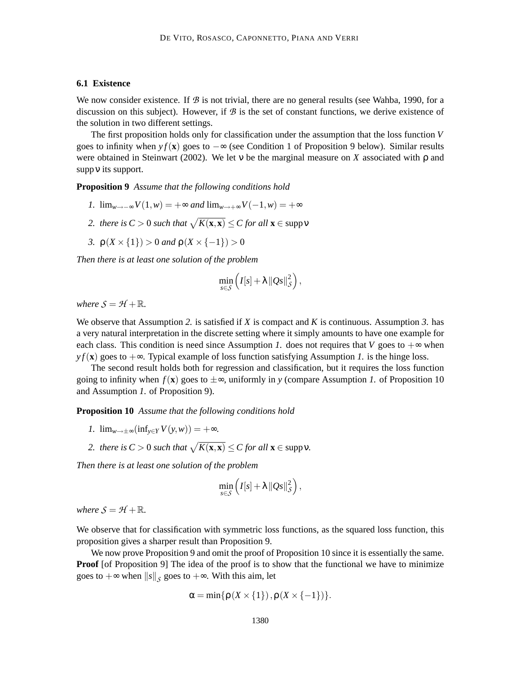#### **6.1 Existence**

We now consider existence. If  $\mathcal B$  is not trivial, there are no general results (see Wahba, 1990, for a discussion on this subject). However, if  $\mathcal{B}$  is the set of constant functions, we derive existence of the solution in two different settings.

The first proposition holds only for classification under the assumption that the loss function *V* goes to infinity when  $y f(x)$  goes to  $-\infty$  (see Condition 1 of Proposition 9 below). Similar results were obtained in Steinwart (2002). We let ν be the marginal measure on *X* associated with ρ and suppν its support.

**Proposition 9** *Assume that the following conditions hold*

- *1.*  $\lim_{w \to -\infty} V(1, w) = +\infty$  *and*  $\lim_{w \to +\infty} V(-1, w) = +\infty$
- 2. there is  $C > 0$  such that  $\sqrt{K(\mathbf{x}, \mathbf{x})} \leq C$  for all  $\mathbf{x} \in \text{supp} \mathbf{v}$
- *3.*  $\rho(X \times \{1\}) > 0$  *and*  $\rho(X \times \{-1\}) > 0$

*Then there is at least one solution of the problem*

$$
\min_{s\in\mathcal{S}}\left(I[s]+\lambda\|Qs\|_{\mathcal{S}}^2\right),\,
$$

*where*  $S = H + \mathbb{R}$ *.* 

We observe that Assumption *2.* is satisfied if *X* is compact and *K* is continuous. Assumption *3.* has a very natural interpretation in the discrete setting where it simply amounts to have one example for each class. This condition is need since Assumption *1*. does not requires that *V* goes to  $+\infty$  when  $y f(\mathbf{x})$  goes to  $+\infty$ . Typical example of loss function satisfying Assumption *1*, is the hinge loss.

The second result holds both for regression and classification, but it requires the loss function going to infinity when  $f(\mathbf{x})$  goes to  $\pm \infty$ , uniformly in *y* (compare Assumption *1*. of Proposition 10 and Assumption *1.* of Proposition 9).

**Proposition 10** *Assume that the following conditions hold*

- *1.*  $\lim_{w \to +\infty} (\inf_{y \in Y} V(y, w)) = +\infty$ .
- 2. there is  $C > 0$  such that  $\sqrt{K(\mathbf{x}, \mathbf{x})} \leq C$  for all  $\mathbf{x} \in \text{supp}\nu$ .

*Then there is at least one solution of the problem*

$$
\min_{s\in\mathcal{S}}\left(I[s]+\lambda\|Qs\|_{\mathcal{S}}^2\right),\,
$$

*where*  $S = H + \mathbb{R}$ *.* 

We observe that for classification with symmetric loss functions, as the squared loss function, this proposition gives a sharper result than Proposition 9.

We now prove Proposition 9 and omit the proof of Proposition 10 since it is essentially the same. **Proof** [of Proposition 9] The idea of the proof is to show that the functional we have to minimize goes to  $+\infty$  when  $||s||_{S}$  goes to  $+\infty$ . With this aim, let

$$
\alpha = \min\{\rho(X \times \{1\}), \rho(X \times \{-1\})\}.
$$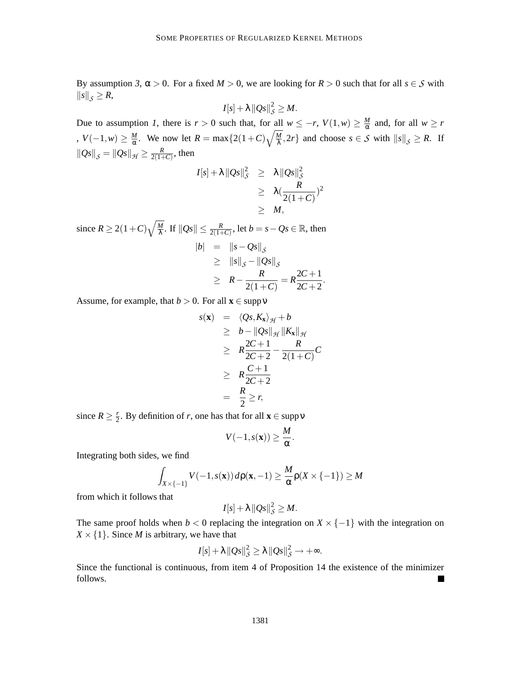By assumption 3,  $\alpha > 0$ . For a fixed  $M > 0$ , we are looking for  $R > 0$  such that for all  $s \in S$  with  $||s||_S \geq R$ ,

$$
I[s]+\lambda \|Qs\|_{\mathcal{S}}^2\geq M.
$$

Due to assumption *1*, there is  $r > 0$  such that, for all  $w \leq -r$ ,  $V(1, w) \geq \frac{M}{\alpha}$  $\frac{M}{\alpha}$  and, for all  $w \geq r$  $, V(-1, w) ≥ \frac{M}{\alpha}$  $\frac{M}{\alpha}$ . We now let  $R = \max\{2(1+C)\sqrt{\frac{M}{\lambda}}\}$  $\frac{M}{\lambda}$ , 2*r*} and choose *s*  $\in$  *S* with  $||s||_{S} \ge R$ . If  $\|Qs\|_{S} = \|Qs\|_{\mathcal{H}} \geq \frac{R}{2(1+1)}$  $\frac{R}{2(1+C)}$ , then

$$
I[s] + \lambda ||Qs||_{\mathcal{S}}^2 \geq \lambda ||Qs||_{\mathcal{S}}^2
$$
  
\n
$$
\geq \lambda (\frac{R}{2(1+C)})^2
$$
  
\n
$$
\geq M,
$$

since  $R \ge 2(1+C)\sqrt{\frac{M}{\lambda}}$  $\frac{M}{\lambda}$ . If  $\|Qs\| \leq \frac{R}{2(1+\lambda)}$  $\frac{R}{2(1+C)}$ , let  $b = s - Qs \in \mathbb{R}$ , then  $|b| = \|s - Qs\|_S$  $\geq$   $||s||_{\mathcal{S}} - ||Qs||_{\mathcal{S}}$  $\geq R - \frac{R}{2(1+1)}$  $\frac{R}{2(1+C)} = R\frac{2C+1}{2C+2}$  $\frac{2c+1}{2c+2}$ .

Assume, for example, that  $b > 0$ . For all  $\mathbf{x} \in \text{supp}\,\mathbf{v}$ 

$$
s(\mathbf{x}) = \langle Qs, K_{\mathbf{x}} \rangle_{\mathcal{H}} + b
$$
  
\n
$$
\geq b - ||Qs||_{\mathcal{H}} ||K_{\mathbf{x}}||_{\mathcal{H}}
$$
  
\n
$$
\geq R \frac{2C + 1}{2C + 2} - \frac{R}{2(1+C)}C
$$
  
\n
$$
\geq R \frac{C + 1}{2C + 2}
$$
  
\n
$$
= \frac{R}{2} \geq r,
$$

since  $R \geq \frac{r}{2}$  $\frac{r}{2}$ . By definition of *r*, one has that for all **x**  $\in$  supp **v** 

$$
V(-1,s(\mathbf{x})) \geq \frac{M}{\alpha}.
$$

Integrating both sides, we find

$$
\int_{X\times\{-1\}} V(-1,s(\mathbf{x}))\,d\mathbf{p}(\mathbf{x},-1)\geq \frac{M}{\alpha}\mathbf{p}(X\times\{-1\})\geq M
$$

from which it follows that

$$
I[s]+\lambda \left\|Qs\right\|_{\mathcal{S}}^2\geq M.
$$

The same proof holds when  $b < 0$  replacing the integration on  $X \times \{-1\}$  with the integration on  $X \times \{1\}$ . Since *M* is arbitrary, we have that

$$
I[s]+\lambda \|Qs\|_{\mathcal{S}}^2 \geq \lambda \|Qs\|_{\mathcal{S}}^2 \rightarrow +\infty.
$$

Since the functional is continuous, from item 4 of Proposition 14 the existence of the minimizer follows.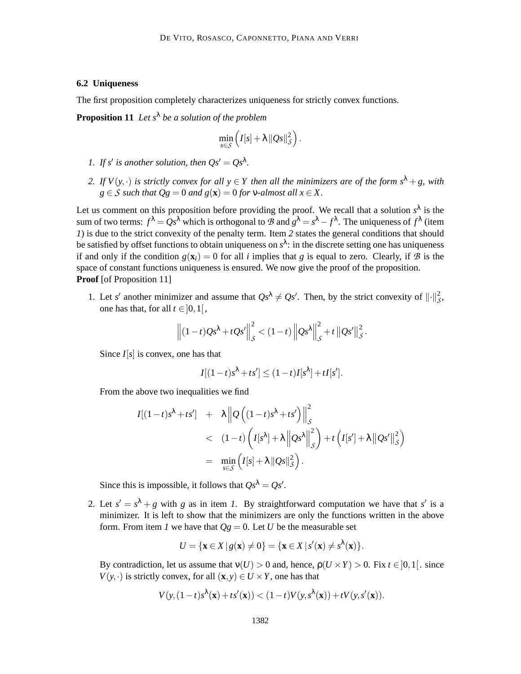#### **6.2 Uniqueness**

The first proposition completely characterizes uniqueness for strictly convex functions.

**Proposition 11** *Let s*<sup>λ</sup> *be a solution of the problem*

$$
\min_{s\in\mathcal{S}}\left(I[s]+\lambda\|Qs\|_{\mathcal{S}}^2\right).
$$

- *1.* If s' is another solution, then  $Qs' = Qs^{\lambda}$ .
- *2. If*  $V(y, \cdot)$  *is strictly convex for all*  $y \in Y$  *then all the minimizers are of the form*  $s^{\lambda} + g$ *, with*  $g \in S$  *such that*  $Qg = 0$  *and*  $g(\mathbf{x}) = 0$  *for*  $v$ *-almost all*  $x \in X$ .

Let us comment on this proposition before providing the proof. We recall that a solution  $s^{\lambda}$  is the sum of two terms:  $f^{\lambda} = Qs^{\lambda}$  which is orthogonal to  $B$  and  $g^{\lambda} = s^{\lambda} - f^{\lambda}$ . The uniqueness of  $f^{\lambda}$  (item *1*) is due to the strict convexity of the penalty term. Item 2 states the general conditions that should be satisfied by offset functions to obtain uniqueness on *s* λ : in the discrete setting one has uniqueness if and only if the condition  $g(\mathbf{x}_i) = 0$  for all *i* implies that *g* is equal to zero. Clearly, if B is the space of constant functions uniqueness is ensured. We now give the proof of the proposition. **Proof** [of Proposition 11]

1. Let *s'* another minimizer and assume that  $Qs^{\lambda} \neq Qs'$ . Then, by the strict convexity of  $\|\cdot\|_{\mathcal{S}}^2$ , one has that, for all  $t \in ]0,1[$ ,

$$
\left\| (1-t)Qs^{\lambda} + tQs' \right\|_{\mathcal{S}}^{2} < (1-t) \left\| Qs^{\lambda} \right\|_{\mathcal{S}}^{2} + t \left\| Qs' \right\|_{\mathcal{S}}^{2}.
$$

Since *I*[*s*] is convex, one has that

$$
I[(1-t)s^{\lambda}+ts'] \le (1-t)I[s^{\lambda}]+tI[s'].
$$

From the above two inequalities we find

$$
I[(1-t)s^{\lambda}+ts'] + \lambda ||Q((1-t)s^{\lambda}+ts')||_{S}^{2}
$$
  
< 
$$
< (1-t)\left(I[s^{\lambda}]+\lambda ||Qs^{\lambda}||_{S}^{2}\right)+t\left(I[s']+\lambda ||Qs'||_{S}^{2}\right)
$$
  

$$
= \min_{s\in S}\left(I[s]+\lambda ||Qs||_{S}^{2}\right).
$$

Since this is impossible, it follows that  $Qs^{\lambda} = Qs'$ .

2. Let  $s' = s^{\lambda} + g$  with *g* as in item *1*. By straightforward computation we have that *s'* is a minimizer. It is left to show that the minimizers are only the functions written in the above form. From item *l* we have that  $Qg = 0$ . Let *U* be the measurable set

$$
U = \{ \mathbf{x} \in X \, | \, g(\mathbf{x}) \neq 0 \} = \{ \mathbf{x} \in X \, | \, s'(\mathbf{x}) \neq s^{\lambda}(\mathbf{x}) \}.
$$

By contradiction, let us assume that  $v(U) > 0$  and, hence,  $p(U \times Y) > 0$ . Fix  $t \in ]0,1[$ . since  $V(y, \cdot)$  is strictly convex, for all  $(\mathbf{x}, y) \in U \times Y$ , one has that

$$
V(y, (1-t)s^{\lambda}(\mathbf{x})+ts'(\mathbf{x})) < (1-t)V(y, s^{\lambda}(\mathbf{x})) + tV(y, s'(\mathbf{x})).
$$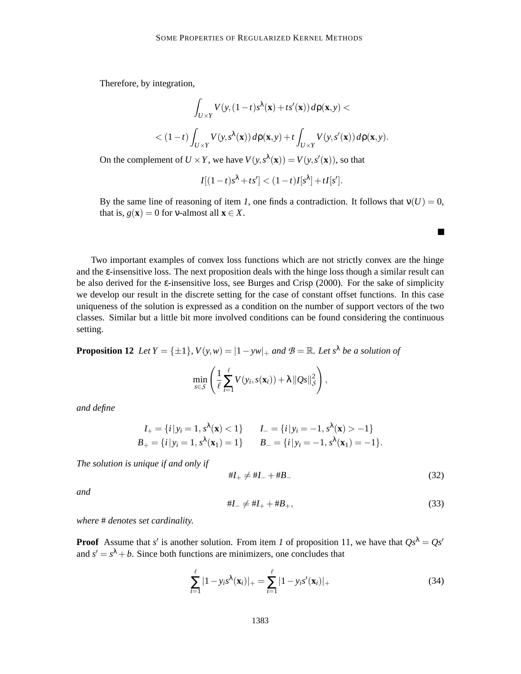Therefore, by integration,

$$
\int_{U\times Y} V(y,(1-t)s^{\lambda}(\mathbf{x})+ts'(\mathbf{x})) d\mathbf{p}(\mathbf{x},y) < (1-t)\int_{U\times Y} V(y,s^{\lambda}(\mathbf{x})) d\mathbf{p}(\mathbf{x},y)+t \int_{U\times Y} V(y,s'(\mathbf{x})) d\mathbf{p}(\mathbf{x},y).
$$

On the complement of  $U \times Y$ , we have  $V(y, s^{\lambda}(\mathbf{x})) = V(y, s'(\mathbf{x}))$ , so that

$$
I[(1-t)s^{\lambda}+ts'] < (1-t)I[s^{\lambda}] + tI[s'].
$$

By the same line of reasoning of item *1*, one finds a contradiction. It follows that  $v(U) = 0$ , that is,  $g(\mathbf{x}) = 0$  for v-almost all  $\mathbf{x} \in X$ .

Two important examples of convex loss functions which are not strictly convex are the hinge and the  $\varepsilon$ -insensitive loss. The next proposition deals with the hinge loss though a similar result can be also derived for the ε-insensitive loss, see Burges and Crisp (2000). For the sake of simplicity we develop our result in the discrete setting for the case of constant offset functions. In this case uniqueness of the solution is expressed as a condition on the number of support vectors of the two classes. Similar but a little bit more involved conditions can be found considering the continuous setting.

**Proposition 12** *Let*  $Y = \{\pm 1\}$ ,  $V(y, w) = |1 - yw|_+$  *and*  $\mathcal{B} = \mathbb{R}$ *. Let*  $s^{\lambda}$  *be a solution of* 

$$
\min_{s \in \mathcal{S}} \left( \frac{1}{\ell} \sum_{i=1}^{\ell} V(y_i, s(\mathbf{x}_i)) + \lambda ||Qs||_{\mathcal{S}}^2 \right),
$$

*and define*

$$
I_{+} = \{i \mid y_{i} = 1, s^{\lambda}(\mathbf{x}) < 1\} \qquad I_{-} = \{i \mid y_{i} = -1, s^{\lambda}(\mathbf{x}) > -1\}
$$
  
\n
$$
B_{+} = \{i \mid y_{i} = 1, s^{\lambda}(\mathbf{x}_{1}) = 1\} \qquad B_{-} = \{i \mid y_{i} = -1, s^{\lambda}(\mathbf{x}_{1}) = -1\}.
$$

*The solution is unique if and only if*

$$
\#I_+ \neq \#I_- + \#B_- \tag{32}
$$

 $\blacksquare$ 

*and*

$$
\#I_- \neq \#I_+ + \#B_+, \tag{33}
$$

*where* # *denotes set cardinality.*

**Proof** Assume that *s'* is another solution. From item *1* of proposition 11, we have that  $Qs^{\lambda} = Qs'$ and  $s' = s^{\lambda} + b$ . Since both functions are minimizers, one concludes that

$$
\sum_{i=1}^{\ell} |1 - y_i s^{\lambda}(\mathbf{x}_i)|_{+} = \sum_{i=1}^{\ell} |1 - y_i s'(\mathbf{x}_i)|_{+}
$$
(34)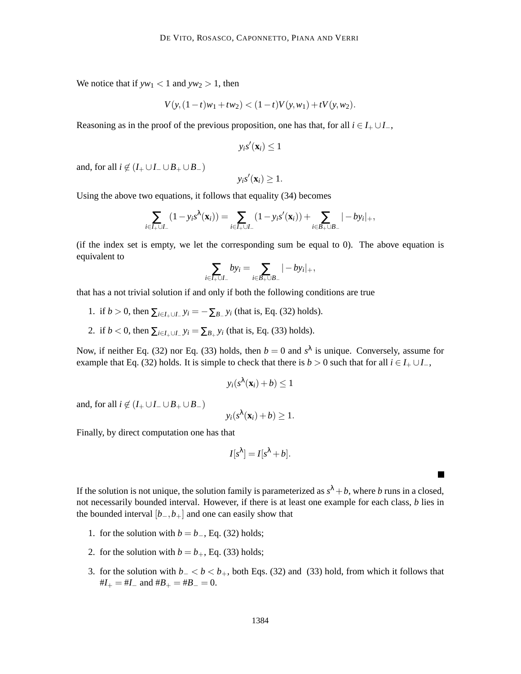We notice that if  $yw_1 < 1$  and  $yw_2 > 1$ , then

$$
V(y, (1-t)w_1 + tw_2) < (1-t)V(y, w_1) + tV(y, w_2).
$$

Reasoning as in the proof of the previous proposition, one has that, for all  $i \in I_+ \cup I_-$ ,

$$
y_i s'(\mathbf{x}_i) \leq 1
$$

and, for all  $i \notin (I_+ \cup I_- \cup B_+ \cup B_-)$ 

$$
y_i s'(\mathbf{x}_i) \geq 1.
$$

Using the above two equations, it follows that equality (34) becomes

$$
\sum_{i \in I_{+} \cup I_{-}} (1 - y_{i} s^{\lambda}(\mathbf{x}_{i})) = \sum_{i \in I_{+} \cup I_{-}} (1 - y_{i} s'(\mathbf{x}_{i})) + \sum_{i \in B_{+} \cup B_{-}} |-by_{i}|_{+},
$$

(if the index set is empty, we let the corresponding sum be equal to 0). The above equation is equivalent to

$$
\sum_{i\in I_+\cup I_-} by_i = \sum_{i\in B_+\cup B_-} |-by_i|_+,
$$

that has a not trivial solution if and only if both the following conditions are true

- 1. if *b* > 0, then  $\sum_{i \in I_+ \cup I_-} y_i = -\sum_{B_-} y_i$  (that is, Eq. (32) holds).
- 2. if *b* < 0, then  $\sum_{i \in I_+ \cup I_-} y_i = \sum_{B_+} y_i$  (that is, Eq. (33) holds).

Now, if neither Eq. (32) nor Eq. (33) holds, then  $b = 0$  and  $s^{\lambda}$  is unique. Conversely, assume for example that Eq. (32) holds. It is simple to check that there is  $b > 0$  such that for all  $i \in I_+ \cup I_-$ ,

$$
y_i(s^{\lambda}(\mathbf{x}_i)+b)\leq 1
$$

and, for all  $i \notin (I_+ \cup I_- \cup B_+ \cup B_-)$ 

$$
y_i(s^{\lambda}(\mathbf{x}_i)+b)\geq 1.
$$

Finally, by direct computation one has that

$$
I[s^{\lambda}] = I[s^{\lambda} + b].
$$

 $\blacksquare$ 

If the solution is not unique, the solution family is parameterized as  $s^{\lambda} + b$ , where *b* runs in a closed, not necessarily bounded interval. However, if there is at least one example for each class, *b* lies in the bounded interval  $[b_-,b_+]$  and one can easily show that

- 1. for the solution with  $b = b_$ , Eq. (32) holds;
- 2. for the solution with  $b = b_+$ , Eq. (33) holds;
- 3. for the solution with  $b<sub>−</sub> < b < b<sub>+</sub>$ , both Eqs. (32) and (33) hold, from which it follows that  $#I_{+} = #I_{-}$  and  $#B_{+} = #B_{-} = 0$ .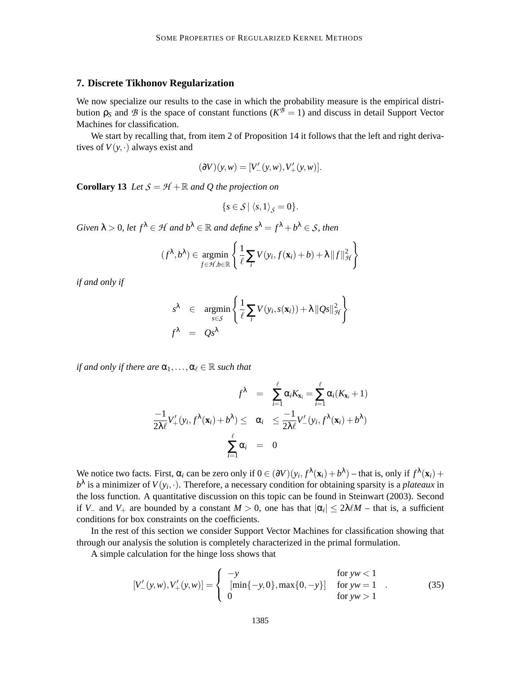#### **7. Discrete Tikhonov Regularization**

We now specialize our results to the case in which the probability measure is the empirical distribution  $ρ_s$  and *B* is the space of constant functions ( $K^B = 1$ ) and discuss in detail Support Vector Machines for classification.

We start by recalling that, from item 2 of Proposition 14 it follows that the left and right derivatives of  $V(y, \cdot)$  always exist and

$$
(\partial V)(y, w) = [V'_{-}(y, w), V'_{+}(y, w)].
$$

**Corollary 13** *Let*  $S = H + \mathbb{R}$  *and Q the projection on* 

$$
\{s\in\mathcal{S}\,|\,\left\langle s,1\right\rangle_{\mathcal{S}}=0\}.
$$

*Given*  $\lambda > 0$ , let  $f^{\lambda} \in \mathcal{H}$  and  $b^{\lambda} \in \mathbb{R}$  and define  $s^{\lambda} = f^{\lambda} + b^{\lambda} \in \mathcal{S}$ , then

$$
(f^{\lambda}, b^{\lambda}) \in \underset{f \in \mathcal{H}, b \in \mathbb{R}}{\operatorname{argmin}} \left\{ \frac{1}{\ell} \sum_{i} V(y_i, f(\mathbf{x}_i) + b) + \lambda ||f||_{\mathcal{H}}^2 \right\}
$$

*if and only if*

$$
s^{\lambda} \in \underset{s \in S}{\operatorname{argmin}} \left\{ \frac{1}{\ell} \sum_{i} V(y_i, s(\mathbf{x}_i)) + \lambda ||Qs||_{\mathcal{H}}^2 \right\}
$$

$$
f^{\lambda} = Qs^{\lambda}
$$

*if and only if there are*  $\alpha_1, \ldots, \alpha_\ell \in \mathbb{R}$  *such that* 

$$
f^{\lambda} = \sum_{i=1}^{\ell} \alpha_i K_{\mathbf{x}_i} = \sum_{i=1}^{\ell} \alpha_i (K_{\mathbf{x}_i} + 1)
$$

$$
\frac{-1}{2\lambda \ell} V'_{+}(y_i, f^{\lambda}(\mathbf{x}_i) + b^{\lambda}) \leq \alpha_i \leq \frac{-1}{2\lambda \ell} V'_{-}(y_i, f^{\lambda}(\mathbf{x}_i) + b^{\lambda})
$$

$$
\sum_{i=1}^{\ell} \alpha_i = 0
$$

We notice two facts. First,  $\alpha_i$  can be zero only if  $0 \in (\partial V)(y_i, f^{\lambda}(\mathbf{x}_i) + b^{\lambda})$  – that is, only if  $f^{\lambda}(\mathbf{x}_i)$  +  $b^{\lambda}$  is a minimizer of  $V(y_i, \cdot)$ . Therefore, a necessary condition for obtaining sparsity is a *plateaux* in the loss function. A quantitative discussion on this topic can be found in Steinwart (2003). Second if *V*<sub>−</sub> and *V*<sub>+</sub> are bounded by a constant *M* > 0, one has that  $|\alpha_i| \leq 2\lambda \ell M$  – that is, a sufficient conditions for box constraints on the coefficients.

In the rest of this section we consider Support Vector Machines for classification showing that through our analysis the solution is completely characterized in the primal formulation.

A simple calculation for the hinge loss shows that

$$
[V'_{-}(y,w), V'_{+}(y,w)] = \begin{cases} -y & \text{for } yw < 1\\ \left[ \min\{-y, 0\}, \max\{0, -y\} \right] & \text{for } yw = 1\\ 0 & \text{for } yw > 1 \end{cases} \tag{35}
$$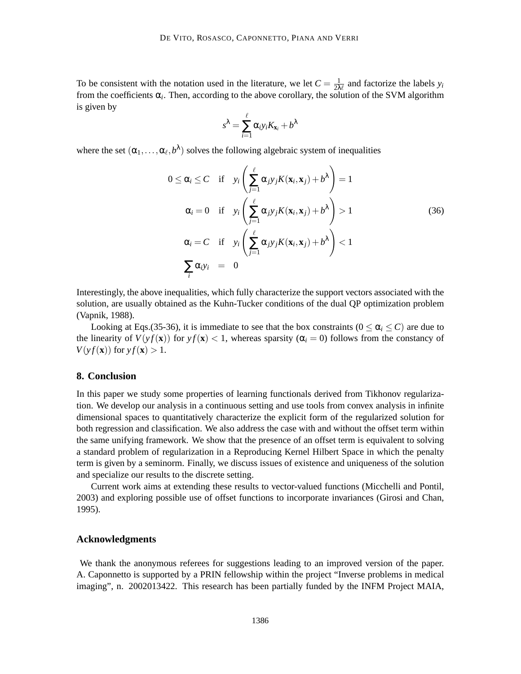To be consistent with the notation used in the literature, we let  $C = \frac{1}{2\lambda}$  $\frac{1}{2\lambda\ell}$  and factorize the labels  $y_i$ from the coefficients  $\alpha_i$ . Then, according to the above corollary, the solution of the SVM algorithm is given by

$$
s^{\lambda} = \sum_{i=1}^{\ell} \alpha_i y_i K_{\mathbf{x}_i} + b^{\lambda}
$$

where the set  $(\alpha_1, \ldots, \alpha_\ell, b^\lambda)$  solves the following algebraic system of inequalities

$$
0 \leq \alpha_i \leq C \quad \text{if} \quad y_i \left( \sum_{j=1}^{\ell} \alpha_j y_j K(\mathbf{x}_i, \mathbf{x}_j) + b^{\lambda} \right) = 1
$$
\n
$$
\alpha_i = 0 \quad \text{if} \quad y_i \left( \sum_{j=1}^{\ell} \alpha_j y_j K(\mathbf{x}_i, \mathbf{x}_j) + b^{\lambda} \right) > 1
$$
\n
$$
\alpha_i = C \quad \text{if} \quad y_i \left( \sum_{j=1}^{\ell} \alpha_j y_j K(\mathbf{x}_i, \mathbf{x}_j) + b^{\lambda} \right) < 1
$$
\n
$$
\sum_i \alpha_i y_i = 0
$$
\n(36)

Interestingly, the above inequalities, which fully characterize the support vectors associated with the solution, are usually obtained as the Kuhn-Tucker conditions of the dual QP optimization problem (Vapnik, 1988).

Looking at Eqs.(35-36), it is immediate to see that the box constraints ( $0 \le \alpha_i \le C$ ) are due to the linearity of  $V(yf(\mathbf{x}))$  for  $y f(\mathbf{x}) < 1$ , whereas sparsity ( $\alpha_i = 0$ ) follows from the constancy of  $V(\nu f(\mathbf{x}))$  for  $\nu f(\mathbf{x}) > 1$ .

### **8. Conclusion**

In this paper we study some properties of learning functionals derived from Tikhonov regularization. We develop our analysis in a continuous setting and use tools from convex analysis in infinite dimensional spaces to quantitatively characterize the explicit form of the regularized solution for both regression and classification. We also address the case with and without the offset term within the same unifying framework. We show that the presence of an offset term is equivalent to solving a standard problem of regularization in a Reproducing Kernel Hilbert Space in which the penalty term is given by a seminorm. Finally, we discuss issues of existence and uniqueness of the solution and specialize our results to the discrete setting.

Current work aims at extending these results to vector-valued functions (Micchelli and Pontil, 2003) and exploring possible use of offset functions to incorporate invariances (Girosi and Chan, 1995).

#### **Acknowledgments**

We thank the anonymous referees for suggestions leading to an improved version of the paper. A. Caponnetto is supported by a PRIN fellowship within the project "Inverse problems in medical imaging", n. 2002013422. This research has been partially funded by the INFM Project MAIA,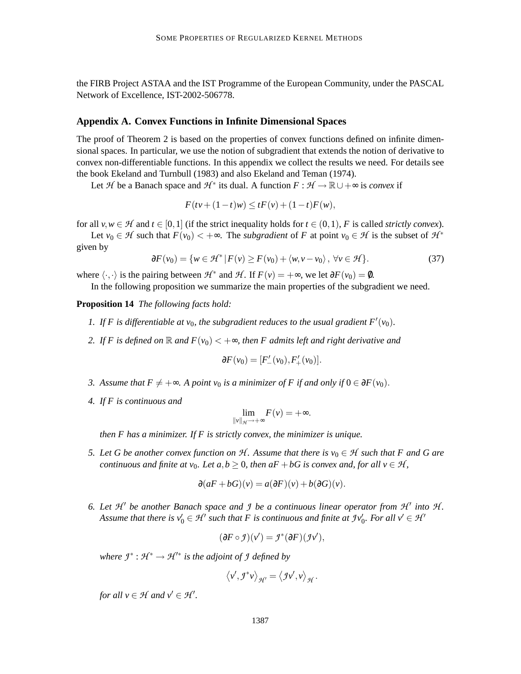the FIRB Project ASTAA and the IST Programme of the European Community, under the PASCAL Network of Excellence, IST-2002-506778.

### **Appendix A. Convex Functions in Infinite Dimensional Spaces**

The proof of Theorem 2 is based on the properties of convex functions defined on infinite dimensional spaces. In particular, we use the notion of subgradient that extends the notion of derivative to convex non-differentiable functions. In this appendix we collect the results we need. For details see the book Ekeland and Turnbull (1983) and also Ekeland and Teman (1974).

Let H be a Banach space and  $H^*$  its dual. A function  $F: H \to \mathbb{R} \cup +\infty$  is *convex* if

$$
F(tv + (1-t)w) \le tF(v) + (1-t)F(w),
$$

for all  $v, w \in H$  and  $t \in [0,1]$  (if the strict inequality holds for  $t \in (0,1)$ , F is called *strictly convex*).

Let  $v_0 \in \mathcal{H}$  such that  $F(v_0) < +\infty$ . The *subgradient* of *F* at point  $v_0 \in \mathcal{H}$  is the subset of  $\mathcal{H}^*$ given by

$$
\partial F(v_0) = \{ w \in \mathcal{H}^* \mid F(v) \ge F(v_0) + \langle w, v - v_0 \rangle, \ \forall v \in \mathcal{H} \}.
$$
 (37)

where  $\langle \cdot, \cdot \rangle$  is the pairing between  $H^*$  and  $H$ . If  $F(v) = +\infty$ , we let  $\partial F(v_0) = \emptyset$ .

In the following proposition we summarize the main properties of the subgradient we need.

**Proposition 14** *The following facts hold:*

- 1. If F is differentiable at  $v_0$ , the subgradient reduces to the usual gradient  $F'(v_0)$ .
- 2. If F is defined on  $\mathbb R$  and  $F(v_0) < +\infty$ , then F admits left and right derivative and

$$
\partial F(v_0) = [F'_{-}(v_0), F'_{+}(v_0)].
$$

- *3.* Assume that  $F \neq +\infty$ . A point  $v_0$  is a minimizer of F if and only if 0 ∈  $\partial F(v_0)$ .
- *4. If F is continuous and*

$$
\lim_{\|\nu\|_{\mathcal{H}}\to+\infty}F(\nu)=+\infty.
$$

*then F has a minimizer. If F is strictly convex, the minimizer is unique.*

*5. Let G be another convex function on*  $H$ *. Assume that there is*  $v_0 \in H$  *such that* F and G are *continuous and finite at v*<sub>0</sub>*. Let a, b*  $\geq$  0*, then aF* + *bG is convex and, for all v*  $\in$  *H*,

$$
\partial(aF + bG)(v) = a(\partial F)(v) + b(\partial G)(v).
$$

6. Let  $\mathcal{H}'$  be another Banach space and *J* be a continuous linear operator from  $\mathcal{H}'$  into  $\mathcal{H}$ . Assume that there is  $v'_0 \in H'$  such that F is continuous and finite at  $\mathcal{I}v'_0$ . For all  $v' \in H'$ 

$$
(\partial F \circ \mathcal{I})(v') = \mathcal{I}^*(\partial F)(\mathcal{I}v'),
$$

*where*  $\mathcal{I}^* : \mathcal{H}^* \to \mathcal{H}'^*$  *is the adjoint of*  $\mathcal{I}$  *defined by* 

$$
\left\langle v',\mathcal{I}^*v\right\rangle_{\mathcal{H}'}=\left\langle \mathcal{I}v',v\right\rangle_{\mathcal{H}}.
$$

*for all*  $v \in H$  *and*  $v' \in H'$ .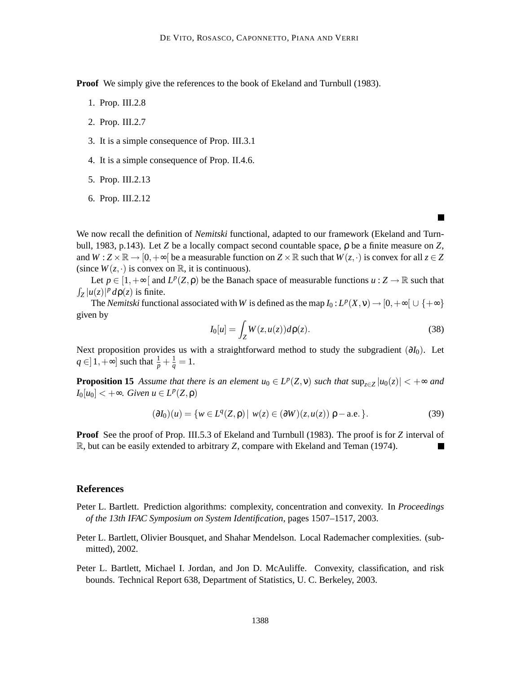**Proof** We simply give the references to the book of Ekeland and Turnbull (1983).

- 1. Prop. III.2.8
- 2. Prop. III.2.7
- 3. It is a simple consequence of Prop. III.3.1
- 4. It is a simple consequence of Prop. II.4.6.
- 5. Prop. III.2.13
- 6. Prop. III.2.12

We now recall the definition of *Nemitski* functional, adapted to our framework (Ekeland and Turnbull, 1983, p.143). Let *Z* be a locally compact second countable space, ρ be a finite measure on *Z*, and  $W : Z \times \mathbb{R} \to [0, +\infty[$  be a measurable function on  $Z \times \mathbb{R}$  such that  $W(z, \cdot)$  is convex for all  $z \in Z$ (since  $W(z, \cdot)$  is convex on  $\mathbb{R}$ , it is continuous).

Let  $p \in [1, +\infty[$  and  $L^p(Z, \rho)$  be the Banach space of measurable functions  $u : Z \to \mathbb{R}$  such that  $\int_Z |u(z)|^p d\rho(z)$  is finite.

The *Nemitski* functional associated with *W* is defined as the map  $I_0: L^p(X, v) \to [0, +\infty[ \cup \{+\infty\}$ given by

$$
I_0[u] = \int_Z W(z, u(z))d\rho(z).
$$
\n(38)

Next proposition provides us with a straightforward method to study the subgradient (∂*I*0). Let *q* ∈ | 1,  $+$ ∞ | such that  $\frac{1}{p} + \frac{1}{q} = 1$ .

**Proposition 15** *Assume that there is an element*  $u_0 \in L^p(Z, \nu)$  *such that*  $\sup_{z \in Z} |u_0(z)| < +\infty$  *and*  $I_0[u_0] < +\infty$ *. Given*  $u \in L^p(Z, \rho)$ 

$$
(\partial I_0)(u) = \{ w \in L^q(Z, \rho) \mid w(z) \in (\partial W)(z, u(z)) \rho - \text{a.e. } \}.
$$
 (39)

**Proof** See the proof of Prop. III.5.3 of Ekeland and Turnbull (1983). The proof is for *Z* interval of R, but can be easily extended to arbitrary *Z*, compare with Ekeland and Teman (1974). **In the Second** 

#### **References**

- Peter L. Bartlett. Prediction algorithms: complexity, concentration and convexity. In *Proceedings of the 13th IFAC Symposium on System Identification*, pages 1507–1517, 2003.
- Peter L. Bartlett, Olivier Bousquet, and Shahar Mendelson. Local Rademacher complexities. (submitted), 2002.
- Peter L. Bartlett, Michael I. Jordan, and Jon D. McAuliffe. Convexity, classification, and risk bounds. Technical Report 638, Department of Statistics, U. C. Berkeley, 2003.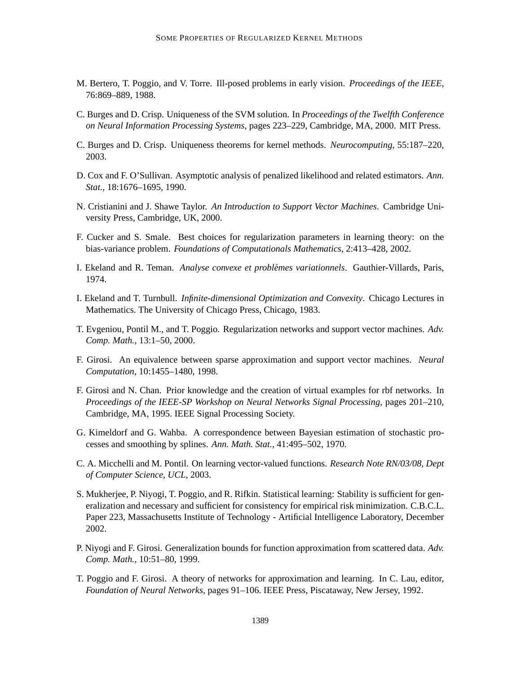- M. Bertero, T. Poggio, and V. Torre. Ill-posed problems in early vision. *Proceedings of the IEEE*, 76:869–889, 1988.
- C. Burges and D. Crisp. Uniqueness of the SVM solution. In *Proceedings of the Twelfth Conference on Neural Information Processing Systems*, pages 223–229, Cambridge, MA, 2000. MIT Press.
- C. Burges and D. Crisp. Uniqueness theorems for kernel methods. *Neurocomputing*, 55:187–220, 2003.
- D. Cox and F. O'Sullivan. Asymptotic analysis of penalized likelihood and related estimators. *Ann. Stat.*, 18:1676–1695, 1990.
- N. Cristianini and J. Shawe Taylor. *An Introduction to Support Vector Machines*. Cambridge University Press, Cambridge, UK, 2000.
- F. Cucker and S. Smale. Best choices for regularization parameters in learning theory: on the bias-variance problem. *Foundations of Computationals Mathematics*, 2:413–428, 2002.
- I. Ekeland and R. Teman. *Analyse convexe et problemes variationnels ´* . Gauthier-Villards, Paris, 1974.
- I. Ekeland and T. Turnbull. *Infinite-dimensional Optimization and Convexity*. Chicago Lectures in Mathematics. The University of Chicago Press, Chicago, 1983.
- T. Evgeniou, Pontil M., and T. Poggio. Regularization networks and support vector machines. *Adv. Comp. Math.*, 13:1–50, 2000.
- F. Girosi. An equivalence between sparse approximation and support vector machines. *Neural Computation*, 10:1455–1480, 1998.
- F. Girosi and N. Chan. Prior knowledge and the creation of virtual examples for rbf networks. In *Proceedings of the IEEE-SP Workshop on Neural Networks Signal Processing*, pages 201–210, Cambridge, MA, 1995. IEEE Signal Processing Society.
- G. Kimeldorf and G. Wahba. A correspondence between Bayesian estimation of stochastic processes and smoothing by splines. *Ann. Math. Stat.*, 41:495–502, 1970.
- C. A. Micchelli and M. Pontil. On learning vector-valued functions. *Research Note RN/03/08, Dept of Computer Science, UCL*, 2003.
- S. Mukherjee, P. Niyogi, T. Poggio, and R. Rifkin. Statistical learning: Stability is sufficient for generalization and necessary and sufficient for consistency for empirical risk minimization. C.B.C.L. Paper 223, Massachusetts Institute of Technology - Artificial Intelligence Laboratory, December 2002.
- P. Niyogi and F. Girosi. Generalization bounds for function approximation from scattered data. *Adv. Comp. Math.*, 10:51–80, 1999.
- T. Poggio and F. Girosi. A theory of networks for approximation and learning. In C. Lau, editor, *Foundation of Neural Networks*, pages 91–106. IEEE Press, Piscataway, New Jersey, 1992.